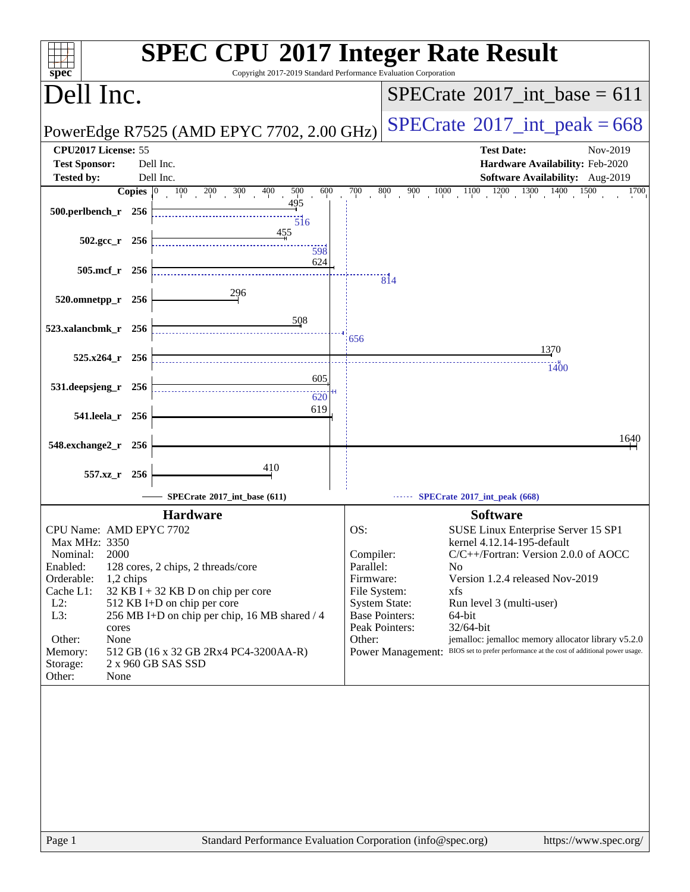| spec <sup>®</sup>                                                                                                                                                                                     |                                                                                                                                                                                                                           | <b>SPEC CPU®2017 Integer Rate Result</b><br>Copyright 2017-2019 Standard Performance Evaluation Corporation                                                                                                                                                                                                                                                                                                                                                                                                         |
|-------------------------------------------------------------------------------------------------------------------------------------------------------------------------------------------------------|---------------------------------------------------------------------------------------------------------------------------------------------------------------------------------------------------------------------------|---------------------------------------------------------------------------------------------------------------------------------------------------------------------------------------------------------------------------------------------------------------------------------------------------------------------------------------------------------------------------------------------------------------------------------------------------------------------------------------------------------------------|
| Dell Inc.                                                                                                                                                                                             |                                                                                                                                                                                                                           | $SPECrate^{\circledast}2017$ int base = 611                                                                                                                                                                                                                                                                                                                                                                                                                                                                         |
|                                                                                                                                                                                                       | PowerEdge R7525 (AMD EPYC 7702, 2.00 GHz)                                                                                                                                                                                 | $SPECrate$ <sup>®</sup> 2017_int_peak = 668                                                                                                                                                                                                                                                                                                                                                                                                                                                                         |
| CPU2017 License: 55<br><b>Test Sponsor:</b><br><b>Tested by:</b>                                                                                                                                      | Dell Inc.<br>Dell Inc.                                                                                                                                                                                                    | <b>Test Date:</b><br>Nov-2019<br>Hardware Availability: Feb-2020<br>Software Availability: Aug-2019                                                                                                                                                                                                                                                                                                                                                                                                                 |
| Copies $ 0\rangle$                                                                                                                                                                                    | 500<br>600<br>$\overline{100}$<br>200<br>$300\,$<br>400                                                                                                                                                                   | 700<br>800<br>$1000$ $1100$ $1200$ $1300$ $1400$<br>900<br>1500<br>1700                                                                                                                                                                                                                                                                                                                                                                                                                                             |
| 500.perlbench_r 256                                                                                                                                                                                   | 495<br>516                                                                                                                                                                                                                |                                                                                                                                                                                                                                                                                                                                                                                                                                                                                                                     |
| $502.\text{gcc}_r$ 256                                                                                                                                                                                | 455<br>598                                                                                                                                                                                                                |                                                                                                                                                                                                                                                                                                                                                                                                                                                                                                                     |
| 505.mcf_r<br>256                                                                                                                                                                                      | 624                                                                                                                                                                                                                       | $\overline{81}4$                                                                                                                                                                                                                                                                                                                                                                                                                                                                                                    |
| 520.omnetpp_r 256                                                                                                                                                                                     | 296<br>508                                                                                                                                                                                                                |                                                                                                                                                                                                                                                                                                                                                                                                                                                                                                                     |
| 523.xalancbmk_r 256                                                                                                                                                                                   |                                                                                                                                                                                                                           | 656<br>1370                                                                                                                                                                                                                                                                                                                                                                                                                                                                                                         |
| 525.x264_r 256                                                                                                                                                                                        |                                                                                                                                                                                                                           |                                                                                                                                                                                                                                                                                                                                                                                                                                                                                                                     |
| 531.deepsjeng_r 256                                                                                                                                                                                   | 605                                                                                                                                                                                                                       | 1400                                                                                                                                                                                                                                                                                                                                                                                                                                                                                                                |
| 541.leela_r 256                                                                                                                                                                                       | 620<br>619                                                                                                                                                                                                                |                                                                                                                                                                                                                                                                                                                                                                                                                                                                                                                     |
|                                                                                                                                                                                                       |                                                                                                                                                                                                                           |                                                                                                                                                                                                                                                                                                                                                                                                                                                                                                                     |
| 548.exchange2_r<br>- 256                                                                                                                                                                              |                                                                                                                                                                                                                           | 1640                                                                                                                                                                                                                                                                                                                                                                                                                                                                                                                |
| 557.xz_r 256                                                                                                                                                                                          | 410                                                                                                                                                                                                                       |                                                                                                                                                                                                                                                                                                                                                                                                                                                                                                                     |
|                                                                                                                                                                                                       | SPECrate®2017_int_base (611)                                                                                                                                                                                              | SPECrate®2017_int_peak (668)                                                                                                                                                                                                                                                                                                                                                                                                                                                                                        |
|                                                                                                                                                                                                       | <b>Hardware</b>                                                                                                                                                                                                           | <b>Software</b>                                                                                                                                                                                                                                                                                                                                                                                                                                                                                                     |
| CPU Name: AMD EPYC 7702<br>Max MHz: 3350<br>2000<br>Nominal:<br>Enabled:<br>Orderable:<br>1,2 chips<br>Cache L1:<br>$L2$ :<br>L3:<br>cores<br>Other:<br>None<br>Memory:<br>Storage:<br>Other:<br>None | 128 cores, 2 chips, 2 threads/core<br>$32$ KB I + 32 KB D on chip per core<br>512 KB I+D on chip per core<br>256 MB I+D on chip per chip, 16 MB shared / 4<br>512 GB (16 x 32 GB 2Rx4 PC4-3200AA-R)<br>2 x 960 GB SAS SSD | OS:<br>SUSE Linux Enterprise Server 15 SP1<br>kernel 4.12.14-195-default<br>C/C++/Fortran: Version 2.0.0 of AOCC<br>Compiler:<br>Parallel:<br>No.<br>Firmware:<br>Version 1.2.4 released Nov-2019<br>File System:<br>xfs<br><b>System State:</b><br>Run level 3 (multi-user)<br><b>Base Pointers:</b><br>64-bit<br>Peak Pointers:<br>32/64-bit<br>jemalloc: jemalloc memory allocator library v5.2.0<br>Other:<br>BIOS set to prefer performance at the cost of additional power usage.<br><b>Power Management:</b> |
| Page 1                                                                                                                                                                                                |                                                                                                                                                                                                                           | Standard Performance Evaluation Corporation (info@spec.org)<br>https://www.spec.org/                                                                                                                                                                                                                                                                                                                                                                                                                                |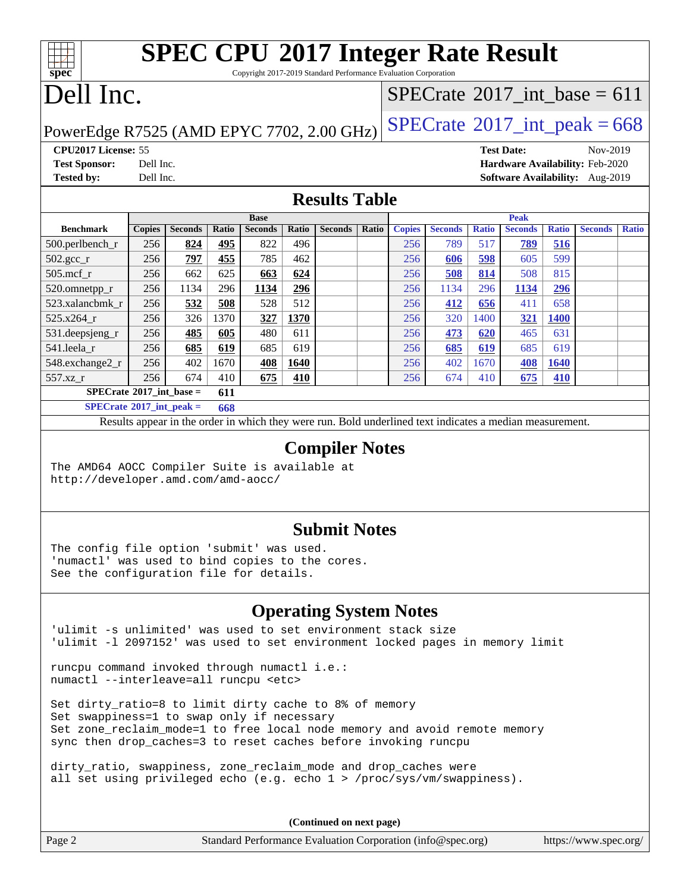Copyright 2017-2019 Standard Performance Evaluation Corporation

## Dell Inc.

**[spec](http://www.spec.org/)**

### $SPECTate$ <sup>®</sup>[2017\\_int\\_base =](http://www.spec.org/auto/cpu2017/Docs/result-fields.html#SPECrate2017intbase) 611

### PowerEdge R7525 (AMD EPYC 7702, 2.00 GHz)  $SPECrate^{\circ}2017\_int\_peak = 668$  $SPECrate^{\circ}2017\_int\_peak = 668$

**[CPU2017 License:](http://www.spec.org/auto/cpu2017/Docs/result-fields.html#CPU2017License)** 55 **[Test Date:](http://www.spec.org/auto/cpu2017/Docs/result-fields.html#TestDate)** Nov-2019 **[Test Sponsor:](http://www.spec.org/auto/cpu2017/Docs/result-fields.html#TestSponsor)** Dell Inc. **[Hardware Availability:](http://www.spec.org/auto/cpu2017/Docs/result-fields.html#HardwareAvailability)** Feb-2020 **[Tested by:](http://www.spec.org/auto/cpu2017/Docs/result-fields.html#Testedby)** Dell Inc. **[Software Availability:](http://www.spec.org/auto/cpu2017/Docs/result-fields.html#SoftwareAvailability)** Aug-2019

### **[Results Table](http://www.spec.org/auto/cpu2017/Docs/result-fields.html#ResultsTable)**

|                                                              |               |                |            | <b>Base</b>    |            |                | <b>Peak</b> |               |                |       |                |              |                |              |
|--------------------------------------------------------------|---------------|----------------|------------|----------------|------------|----------------|-------------|---------------|----------------|-------|----------------|--------------|----------------|--------------|
| <b>Benchmark</b>                                             | <b>Copies</b> | <b>Seconds</b> | Ratio      | <b>Seconds</b> | Ratio      | <b>Seconds</b> | Ratio       | <b>Copies</b> | <b>Seconds</b> | Ratio | <b>Seconds</b> | <b>Ratio</b> | <b>Seconds</b> | <b>Ratio</b> |
| $500.$ perlbench_r                                           | 256           | 824            | 495        | 822            | 496        |                |             | 256           | 789            | 517   | 789            | 516          |                |              |
| $502.\text{gcc\_r}$                                          | 256           | 797            | 455        | 785            | 462        |                |             | 256           | 606            | 598   | 605            | 599          |                |              |
| $505$ .mcf $r$                                               | 256           | 662            | 625        | 663            | 624        |                |             | 256           | 508            | 814   | 508            | 815          |                |              |
| 520.omnetpp_r                                                | 256           | 1134           | 296        | 1134           | <u>296</u> |                |             | 256           | 1134           | 296   | 1134           | <u>296</u>   |                |              |
| 523.xalancbmk r                                              | 256           | 532            | 508        | 528            | 512        |                |             | 256           | 412            | 656   | 411            | 658          |                |              |
| $525.x264$ r                                                 | 256           | 326            | 1370       | 327            | 1370       |                |             | 256           | 320            | 1400  | 321            | 1400         |                |              |
| 531.deepsjeng_r                                              | 256           | 485            | 605        | 480            | 611        |                |             | 256           | 473            | 620   | 465            | 631          |                |              |
| 541.leela r                                                  | 256           | 685            | 619        | 685            | 619        |                |             | 256           | 685            | 619   | 685            | 619          |                |              |
| 548.exchange2_r                                              | 256           | 402            | 1670       | 408            | 1640       |                |             | 256           | 402            | 1670  | 408            | 1640         |                |              |
| 557.xz                                                       | 256           | 674            | 410        | 675            | 410        |                |             | 256           | 674            | 410   | 675            | 410          |                |              |
| $SPECrate^{\circ}2017$ int base =<br>611                     |               |                |            |                |            |                |             |               |                |       |                |              |                |              |
| $CDFC_{\text{mod}}$ $\{0.017, \ldots, 0.017, \ldots, 0.01\}$ |               |                | $\sqrt{2}$ |                |            |                |             |               |                |       |                |              |                |              |

**[SPECrate](http://www.spec.org/auto/cpu2017/Docs/result-fields.html#SPECrate2017intpeak)[2017\\_int\\_peak =](http://www.spec.org/auto/cpu2017/Docs/result-fields.html#SPECrate2017intpeak) 668**

Results appear in the [order in which they were run](http://www.spec.org/auto/cpu2017/Docs/result-fields.html#RunOrder). Bold underlined text [indicates a median measurement](http://www.spec.org/auto/cpu2017/Docs/result-fields.html#Median).

#### **[Compiler Notes](http://www.spec.org/auto/cpu2017/Docs/result-fields.html#CompilerNotes)**

The AMD64 AOCC Compiler Suite is available at <http://developer.amd.com/amd-aocc/>

#### **[Submit Notes](http://www.spec.org/auto/cpu2017/Docs/result-fields.html#SubmitNotes)**

The config file option 'submit' was used. 'numactl' was used to bind copies to the cores. See the configuration file for details.

### **[Operating System Notes](http://www.spec.org/auto/cpu2017/Docs/result-fields.html#OperatingSystemNotes)**

'ulimit -s unlimited' was used to set environment stack size 'ulimit -l 2097152' was used to set environment locked pages in memory limit

runcpu command invoked through numactl i.e.: numactl --interleave=all runcpu <etc>

Set dirty ratio=8 to limit dirty cache to 8% of memory Set swappiness=1 to swap only if necessary Set zone\_reclaim\_mode=1 to free local node memory and avoid remote memory sync then drop\_caches=3 to reset caches before invoking runcpu

dirty\_ratio, swappiness, zone\_reclaim\_mode and drop\_caches were all set using privileged echo (e.g. echo 1 > /proc/sys/vm/swappiness).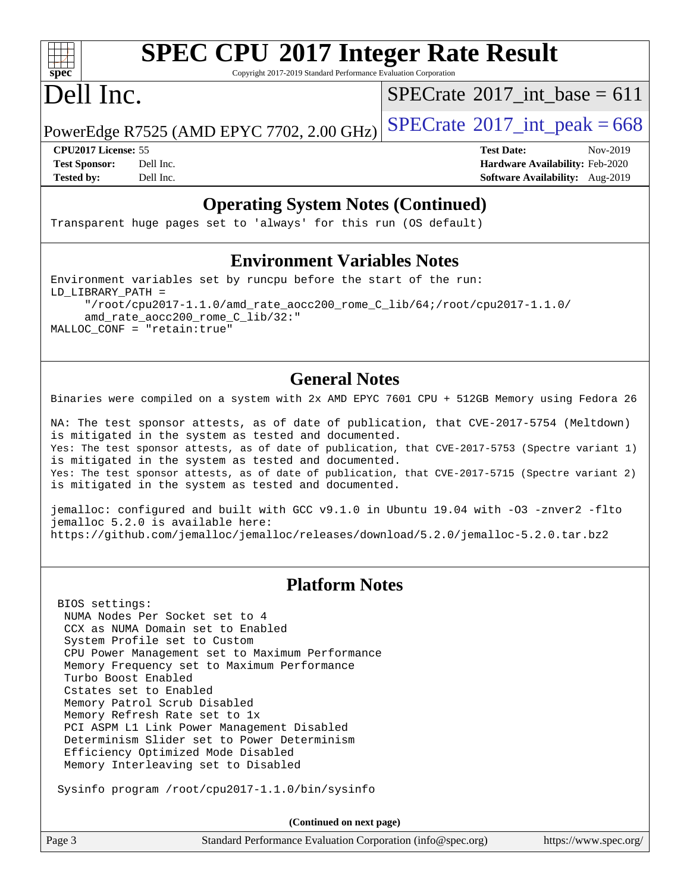# **[spec](http://www.spec.org/)**

# **[SPEC CPU](http://www.spec.org/auto/cpu2017/Docs/result-fields.html#SPECCPU2017IntegerRateResult)[2017 Integer Rate Result](http://www.spec.org/auto/cpu2017/Docs/result-fields.html#SPECCPU2017IntegerRateResult)**

Copyright 2017-2019 Standard Performance Evaluation Corporation

## Dell Inc.

 $SPECrate$ <sup>®</sup>[2017\\_int\\_base =](http://www.spec.org/auto/cpu2017/Docs/result-fields.html#SPECrate2017intbase) 611

PowerEdge R7525 (AMD EPYC 7702, 2.00 GHz)  $\text{SPECrate}^{\circ}2017\_int\_peak = 668$  $\text{SPECrate}^{\circ}2017\_int\_peak = 668$  $\text{SPECrate}^{\circ}2017\_int\_peak = 668$ 

**[CPU2017 License:](http://www.spec.org/auto/cpu2017/Docs/result-fields.html#CPU2017License)** 55 **[Test Date:](http://www.spec.org/auto/cpu2017/Docs/result-fields.html#TestDate)** Nov-2019 **[Test Sponsor:](http://www.spec.org/auto/cpu2017/Docs/result-fields.html#TestSponsor)** Dell Inc. **[Hardware Availability:](http://www.spec.org/auto/cpu2017/Docs/result-fields.html#HardwareAvailability)** Feb-2020 **[Tested by:](http://www.spec.org/auto/cpu2017/Docs/result-fields.html#Testedby)** Dell Inc. **[Software Availability:](http://www.spec.org/auto/cpu2017/Docs/result-fields.html#SoftwareAvailability)** Aug-2019

### **[Operating System Notes \(Continued\)](http://www.spec.org/auto/cpu2017/Docs/result-fields.html#OperatingSystemNotes)**

Transparent huge pages set to 'always' for this run (OS default)

### **[Environment Variables Notes](http://www.spec.org/auto/cpu2017/Docs/result-fields.html#EnvironmentVariablesNotes)**

Environment variables set by runcpu before the start of the run: LD\_LIBRARY\_PATH = "/root/cpu2017-1.1.0/amd rate aocc200 rome C  $lib/64$ ;/root/cpu2017-1.1.0/ amd\_rate\_aocc200\_rome\_C\_lib/32:" MALLOC\_CONF = "retain:true"

### **[General Notes](http://www.spec.org/auto/cpu2017/Docs/result-fields.html#GeneralNotes)**

Binaries were compiled on a system with 2x AMD EPYC 7601 CPU + 512GB Memory using Fedora 26

NA: The test sponsor attests, as of date of publication, that CVE-2017-5754 (Meltdown) is mitigated in the system as tested and documented. Yes: The test sponsor attests, as of date of publication, that CVE-2017-5753 (Spectre variant 1) is mitigated in the system as tested and documented. Yes: The test sponsor attests, as of date of publication, that CVE-2017-5715 (Spectre variant 2) is mitigated in the system as tested and documented.

jemalloc: configured and built with GCC v9.1.0 in Ubuntu 19.04 with -O3 -znver2 -flto jemalloc 5.2.0 is available here: <https://github.com/jemalloc/jemalloc/releases/download/5.2.0/jemalloc-5.2.0.tar.bz2>

### **[Platform Notes](http://www.spec.org/auto/cpu2017/Docs/result-fields.html#PlatformNotes)**

 BIOS settings: NUMA Nodes Per Socket set to 4 CCX as NUMA Domain set to Enabled System Profile set to Custom CPU Power Management set to Maximum Performance Memory Frequency set to Maximum Performance Turbo Boost Enabled Cstates set to Enabled Memory Patrol Scrub Disabled Memory Refresh Rate set to 1x PCI ASPM L1 Link Power Management Disabled Determinism Slider set to Power Determinism Efficiency Optimized Mode Disabled Memory Interleaving set to Disabled

Sysinfo program /root/cpu2017-1.1.0/bin/sysinfo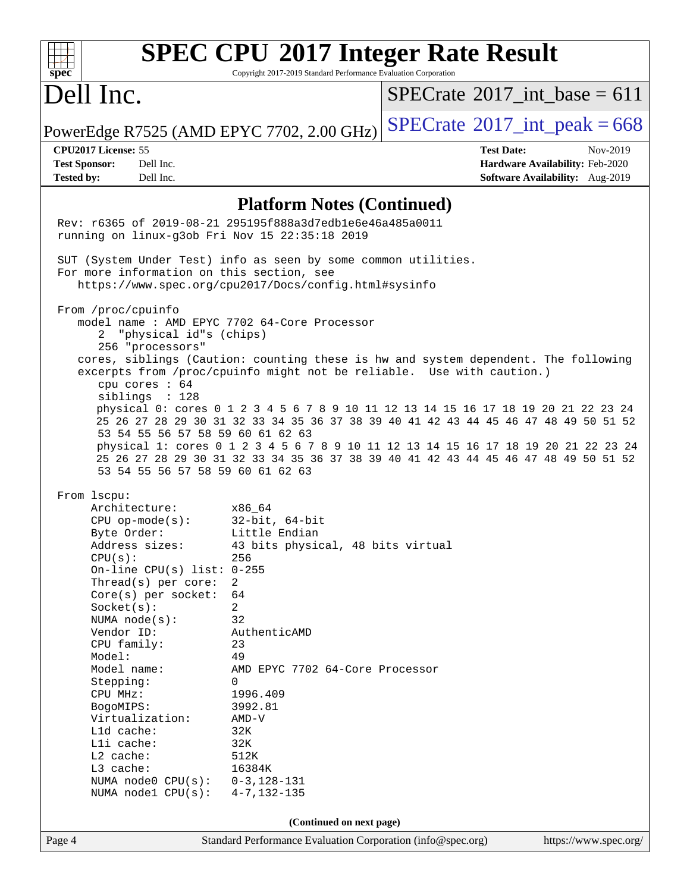| spec <sup>®</sup>                                                                                                                                           | Copyright 2017-2019 Standard Performance Evaluation Corporation | <b>SPEC CPU®2017 Integer Rate Result</b>                                                                                                                                  |                                 |  |  |  |  |  |
|-------------------------------------------------------------------------------------------------------------------------------------------------------------|-----------------------------------------------------------------|---------------------------------------------------------------------------------------------------------------------------------------------------------------------------|---------------------------------|--|--|--|--|--|
| Dell Inc.                                                                                                                                                   |                                                                 | $SPECrate^{\circ}2017\_int\_base = 611$                                                                                                                                   |                                 |  |  |  |  |  |
| PowerEdge R7525 (AMD EPYC 7702, 2.00 GHz)                                                                                                                   |                                                                 | $SPECTate$ <sup>®</sup> 2017_int_peak = 668                                                                                                                               |                                 |  |  |  |  |  |
| CPU2017 License: 55                                                                                                                                         |                                                                 | <b>Test Date:</b>                                                                                                                                                         | Nov-2019                        |  |  |  |  |  |
| <b>Test Sponsor:</b><br>Dell Inc.<br>Dell Inc.                                                                                                              |                                                                 |                                                                                                                                                                           | Hardware Availability: Feb-2020 |  |  |  |  |  |
| <b>Tested by:</b>                                                                                                                                           |                                                                 |                                                                                                                                                                           | Software Availability: Aug-2019 |  |  |  |  |  |
| <b>Platform Notes (Continued)</b>                                                                                                                           |                                                                 |                                                                                                                                                                           |                                 |  |  |  |  |  |
| Rev: r6365 of 2019-08-21 295195f888a3d7edble6e46a485a0011<br>running on linux-g3ob Fri Nov 15 22:35:18 2019                                                 |                                                                 |                                                                                                                                                                           |                                 |  |  |  |  |  |
| SUT (System Under Test) info as seen by some common utilities.                                                                                              |                                                                 |                                                                                                                                                                           |                                 |  |  |  |  |  |
| For more information on this section, see                                                                                                                   | https://www.spec.org/cpu2017/Docs/config.html#sysinfo           |                                                                                                                                                                           |                                 |  |  |  |  |  |
|                                                                                                                                                             |                                                                 |                                                                                                                                                                           |                                 |  |  |  |  |  |
| From /proc/cpuinfo<br>model name : AMD EPYC 7702 64-Core Processor                                                                                          |                                                                 |                                                                                                                                                                           |                                 |  |  |  |  |  |
| "physical id"s (chips)<br>2                                                                                                                                 |                                                                 |                                                                                                                                                                           |                                 |  |  |  |  |  |
| 256 "processors"                                                                                                                                            |                                                                 |                                                                                                                                                                           |                                 |  |  |  |  |  |
| cores, siblings (Caution: counting these is hw and system dependent. The following<br>excerpts from /proc/cpuinfo might not be reliable. Use with caution.) |                                                                 |                                                                                                                                                                           |                                 |  |  |  |  |  |
| cpu cores : 64                                                                                                                                              |                                                                 |                                                                                                                                                                           |                                 |  |  |  |  |  |
| siblings : 128                                                                                                                                              |                                                                 | physical 0: cores 0 1 2 3 4 5 6 7 8 9 10 11 12 13 14 15 16 17 18 19 20 21 22 23 24                                                                                        |                                 |  |  |  |  |  |
|                                                                                                                                                             |                                                                 | 25 26 27 28 29 30 31 32 33 34 35 36 37 38 39 40 41 42 43 44 45 46 47 48 49 50 51 52                                                                                       |                                 |  |  |  |  |  |
| 53 54 55 56 57 58 59 60 61 62 63                                                                                                                            |                                                                 |                                                                                                                                                                           |                                 |  |  |  |  |  |
| 53 54 55 56 57 58 59 60 61 62 63                                                                                                                            |                                                                 | physical 1: cores 0 1 2 3 4 5 6 7 8 9 10 11 12 13 14 15 16 17 18 19 20 21 22 23 24<br>25 26 27 28 29 30 31 32 33 34 35 36 37 38 39 40 41 42 43 44 45 46 47 48 49 50 51 52 |                                 |  |  |  |  |  |
| From 1scpu:                                                                                                                                                 |                                                                 |                                                                                                                                                                           |                                 |  |  |  |  |  |
| Architecture:                                                                                                                                               | x86_64                                                          |                                                                                                                                                                           |                                 |  |  |  |  |  |
| $CPU$ op-mode( $s$ ):<br>Byte Order:                                                                                                                        | $32$ -bit, $64$ -bit<br>Little Endian                           |                                                                                                                                                                           |                                 |  |  |  |  |  |
| Address sizes:                                                                                                                                              | 43 bits physical, 48 bits virtual                               |                                                                                                                                                                           |                                 |  |  |  |  |  |
| CPU(s):                                                                                                                                                     | 256                                                             |                                                                                                                                                                           |                                 |  |  |  |  |  |
| On-line $CPU(s)$ list:                                                                                                                                      | $0 - 255$                                                       |                                                                                                                                                                           |                                 |  |  |  |  |  |
| Thread(s) per core:<br>$Core(s)$ per socket:                                                                                                                | 2<br>64                                                         |                                                                                                                                                                           |                                 |  |  |  |  |  |
| Socket(s):                                                                                                                                                  | 2                                                               |                                                                                                                                                                           |                                 |  |  |  |  |  |
| NUMA $node(s):$                                                                                                                                             | 32                                                              |                                                                                                                                                                           |                                 |  |  |  |  |  |
| Vendor ID:<br>CPU family:                                                                                                                                   | AuthenticAMD<br>23                                              |                                                                                                                                                                           |                                 |  |  |  |  |  |
| Model:                                                                                                                                                      | 49                                                              |                                                                                                                                                                           |                                 |  |  |  |  |  |
| Model name:                                                                                                                                                 | AMD EPYC 7702 64-Core Processor                                 |                                                                                                                                                                           |                                 |  |  |  |  |  |
| Stepping:<br>CPU MHz:                                                                                                                                       | $\Omega$<br>1996.409                                            |                                                                                                                                                                           |                                 |  |  |  |  |  |
| BogoMIPS:                                                                                                                                                   | 3992.81                                                         |                                                                                                                                                                           |                                 |  |  |  |  |  |
| Virtualization:                                                                                                                                             | $AMD-V$                                                         |                                                                                                                                                                           |                                 |  |  |  |  |  |
| Lld cache:<br>Lli cache:                                                                                                                                    | 32K<br>32K                                                      |                                                                                                                                                                           |                                 |  |  |  |  |  |
| L2 cache:                                                                                                                                                   | 512K                                                            |                                                                                                                                                                           |                                 |  |  |  |  |  |
| L3 cache:                                                                                                                                                   | 16384K                                                          |                                                                                                                                                                           |                                 |  |  |  |  |  |
| NUMA node0 CPU(s):<br>NUMA node1 CPU(s):                                                                                                                    | $0 - 3, 128 - 131$<br>$4 - 7, 132 - 135$                        |                                                                                                                                                                           |                                 |  |  |  |  |  |
|                                                                                                                                                             |                                                                 |                                                                                                                                                                           |                                 |  |  |  |  |  |
|                                                                                                                                                             | (Continued on next page)                                        |                                                                                                                                                                           |                                 |  |  |  |  |  |
| Page 4                                                                                                                                                      | Standard Performance Evaluation Corporation (info@spec.org)     |                                                                                                                                                                           | https://www.spec.org/           |  |  |  |  |  |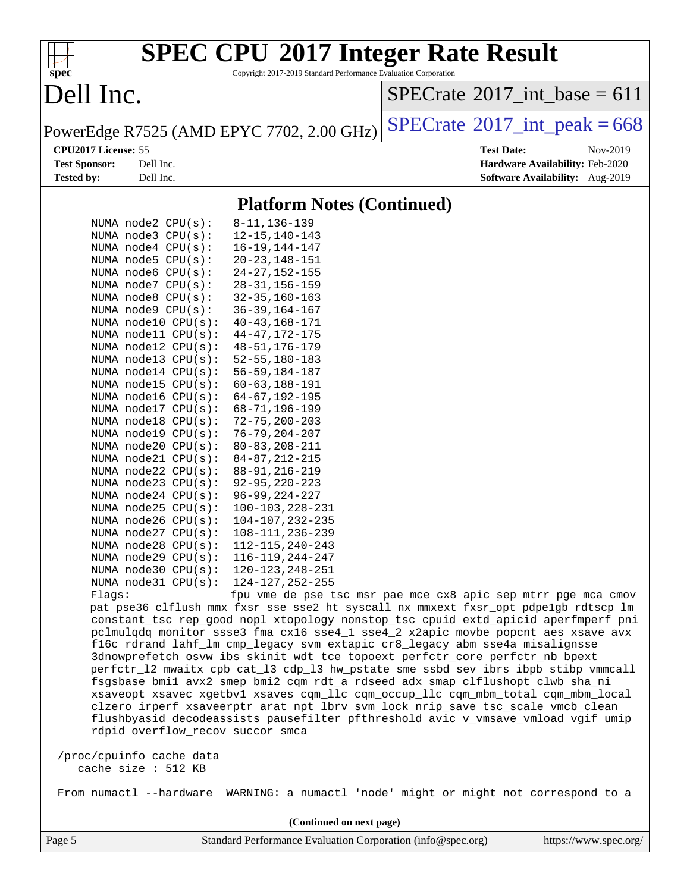| spec <sup>®</sup>    |                                                   | <b>SPEC CPU®2017 Integer Rate Result</b><br>Copyright 2017-2019 Standard Performance Evaluation Corporation                                                |                                                                                                                                                                                                                                                              |
|----------------------|---------------------------------------------------|------------------------------------------------------------------------------------------------------------------------------------------------------------|--------------------------------------------------------------------------------------------------------------------------------------------------------------------------------------------------------------------------------------------------------------|
| Dell Inc.            |                                                   |                                                                                                                                                            | $SPECrate^{\circledast}2017$ int base = 611                                                                                                                                                                                                                  |
|                      |                                                   | PowerEdge R7525 (AMD EPYC 7702, 2.00 GHz)                                                                                                                  | $SPECTate@2017_int\_peak = 668$                                                                                                                                                                                                                              |
| CPU2017 License: 55  |                                                   |                                                                                                                                                            | <b>Test Date:</b><br>Nov-2019                                                                                                                                                                                                                                |
| <b>Test Sponsor:</b> | Dell Inc.                                         |                                                                                                                                                            | Hardware Availability: Feb-2020                                                                                                                                                                                                                              |
| <b>Tested by:</b>    | Dell Inc.                                         |                                                                                                                                                            | Software Availability: Aug-2019                                                                                                                                                                                                                              |
|                      |                                                   | <b>Platform Notes (Continued)</b>                                                                                                                          |                                                                                                                                                                                                                                                              |
|                      | NUMA $node2$ $CPU(s):$                            | $8 - 11, 136 - 139$                                                                                                                                        |                                                                                                                                                                                                                                                              |
|                      | NUMA node3 CPU(s):                                | $12 - 15, 140 - 143$                                                                                                                                       |                                                                                                                                                                                                                                                              |
|                      | NUMA $node4$ $CPU(s):$                            | $16 - 19, 144 - 147$                                                                                                                                       |                                                                                                                                                                                                                                                              |
|                      | NUMA node5 CPU(s):                                | $20 - 23, 148 - 151$                                                                                                                                       |                                                                                                                                                                                                                                                              |
|                      | NUMA node6 CPU(s):                                | $24 - 27, 152 - 155$                                                                                                                                       |                                                                                                                                                                                                                                                              |
|                      | NUMA node7 CPU(s):                                | $28 - 31, 156 - 159$                                                                                                                                       |                                                                                                                                                                                                                                                              |
|                      | NUMA node8 CPU(s):                                | $32 - 35, 160 - 163$                                                                                                                                       |                                                                                                                                                                                                                                                              |
|                      | NUMA node9 CPU(s):                                | $36 - 39, 164 - 167$                                                                                                                                       |                                                                                                                                                                                                                                                              |
|                      | NUMA node10 CPU(s):                               | $40 - 43, 168 - 171$                                                                                                                                       |                                                                                                                                                                                                                                                              |
|                      | NUMA $model1$ CPU $(s)$ :                         | $44 - 47, 172 - 175$                                                                                                                                       |                                                                                                                                                                                                                                                              |
|                      | NUMA $node12$ $CPU(s):$                           | $48 - 51, 176 - 179$                                                                                                                                       |                                                                                                                                                                                                                                                              |
|                      | NUMA $node13$ CPU $(s)$ :                         | $52 - 55, 180 - 183$                                                                                                                                       |                                                                                                                                                                                                                                                              |
|                      | NUMA node14 CPU(s):<br>NUMA $node15$ CPU $(s)$ :  | $56 - 59, 184 - 187$<br>$60 - 63, 188 - 191$                                                                                                               |                                                                                                                                                                                                                                                              |
|                      | NUMA node16 $CPU(s):$                             | $64 - 67, 192 - 195$                                                                                                                                       |                                                                                                                                                                                                                                                              |
|                      | NUMA $node17$ CPU $(s)$ :                         | $68 - 71, 196 - 199$                                                                                                                                       |                                                                                                                                                                                                                                                              |
|                      | NUMA node18 CPU(s):                               | $72 - 75, 200 - 203$                                                                                                                                       |                                                                                                                                                                                                                                                              |
|                      | NUMA $node19$ $CPU(s):$                           | $76 - 79, 204 - 207$                                                                                                                                       |                                                                                                                                                                                                                                                              |
|                      | NUMA $node20$ CPU $(s)$ :                         | $80 - 83, 208 - 211$                                                                                                                                       |                                                                                                                                                                                                                                                              |
|                      | NUMA $node21$ $CPU(s):$                           | 84-87, 212-215                                                                                                                                             |                                                                                                                                                                                                                                                              |
|                      | NUMA $node22$ CPU $(s)$ :                         | $88 - 91, 216 - 219$                                                                                                                                       |                                                                                                                                                                                                                                                              |
|                      | NUMA $node23$ CPU $(s)$ :                         | $92 - 95, 220 - 223$                                                                                                                                       |                                                                                                                                                                                                                                                              |
|                      | NUMA node24 CPU(s):                               | $96 - 99, 224 - 227$                                                                                                                                       |                                                                                                                                                                                                                                                              |
|                      | NUMA $node25$ CPU $(s)$ :                         | $100 - 103, 228 - 231$                                                                                                                                     |                                                                                                                                                                                                                                                              |
|                      | NUMA node26 CPU(s):                               | 104-107, 232-235                                                                                                                                           |                                                                                                                                                                                                                                                              |
|                      | NUMA $node27$ CPU $(s)$ :<br>NUMA node28 CPU(s):  | 108-111, 236-239<br>112-115, 240-243                                                                                                                       |                                                                                                                                                                                                                                                              |
|                      | NUMA $node29$ $CPU(s):$                           | $116 - 119, 244 - 247$                                                                                                                                     |                                                                                                                                                                                                                                                              |
|                      | NUMA node30 CPU(s): 120-123, 248-251              |                                                                                                                                                            |                                                                                                                                                                                                                                                              |
|                      | NUMA $node31$ $CPU(s):$                           | 124-127, 252-255                                                                                                                                           |                                                                                                                                                                                                                                                              |
|                      | Flags:                                            |                                                                                                                                                            | fpu vme de pse tsc msr pae mce cx8 apic sep mtrr pge mca cmov                                                                                                                                                                                                |
|                      |                                                   |                                                                                                                                                            | pat pse36 clflush mmx fxsr sse sse2 ht syscall nx mmxext fxsr_opt pdpe1gb rdtscp lm<br>constant_tsc rep_good nopl xtopology nonstop_tsc cpuid extd_apicid aperfmperf pni<br>pclmulqdq monitor ssse3 fma cx16 sse4_1 sse4_2 x2apic movbe popcnt aes xsave avx |
|                      |                                                   | f16c rdrand lahf_lm cmp_legacy svm extapic cr8_legacy abm sse4a misalignsse<br>3dnowprefetch osvw ibs skinit wdt tce topoext perfctr_core perfctr_nb bpext | perfctr_12 mwaitx cpb cat_13 cdp_13 hw_pstate sme ssbd sev ibrs ibpb stibp vmmcall                                                                                                                                                                           |
|                      |                                                   | fsgsbase bmil avx2 smep bmi2 cqm rdt_a rdseed adx smap clflushopt clwb sha_ni                                                                              | xsaveopt xsavec xgetbvl xsaves cqm_llc cqm_occup_llc cqm_mbm_total cqm_mbm_local                                                                                                                                                                             |
|                      |                                                   | clzero irperf xsaveerptr arat npt lbrv svm_lock nrip_save tsc_scale vmcb_clean                                                                             |                                                                                                                                                                                                                                                              |
|                      | rdpid overflow_recov succor smca                  |                                                                                                                                                            | flushbyasid decodeassists pausefilter pfthreshold avic v_vmsave_vmload vgif umip                                                                                                                                                                             |
|                      | /proc/cpuinfo cache data<br>cache size $: 512$ KB |                                                                                                                                                            |                                                                                                                                                                                                                                                              |
|                      |                                                   |                                                                                                                                                            | From numactl --hardware WARNING: a numactl 'node' might or might not correspond to a                                                                                                                                                                         |
|                      |                                                   | (Continued on next page)                                                                                                                                   |                                                                                                                                                                                                                                                              |

Page 5 Standard Performance Evaluation Corporation [\(info@spec.org\)](mailto:info@spec.org) <https://www.spec.org/>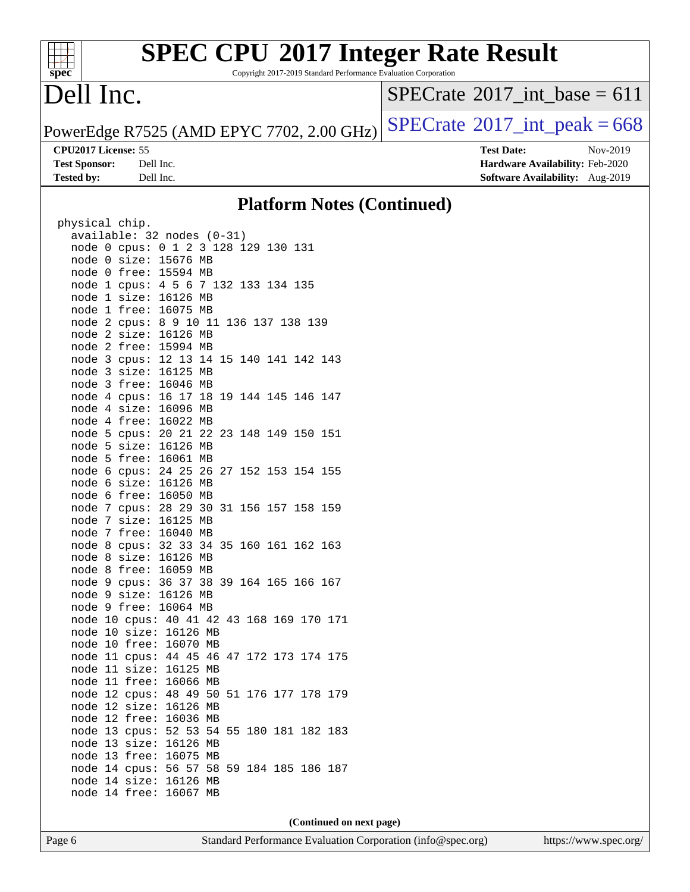#### **[spec](http://www.spec.org/)**

# **[SPEC CPU](http://www.spec.org/auto/cpu2017/Docs/result-fields.html#SPECCPU2017IntegerRateResult)[2017 Integer Rate Result](http://www.spec.org/auto/cpu2017/Docs/result-fields.html#SPECCPU2017IntegerRateResult)**

Copyright 2017-2019 Standard Performance Evaluation Corporation

## Dell Inc.

 $SPECTate$ <sup>®</sup>[2017\\_int\\_base =](http://www.spec.org/auto/cpu2017/Docs/result-fields.html#SPECrate2017intbase) 611

PowerEdge R7525 (AMD EPYC 7702, 2.00 GHz)  $SPECrate^{\circ}2017\_int\_peak = 668$  $SPECrate^{\circ}2017\_int\_peak = 668$ 

**[CPU2017 License:](http://www.spec.org/auto/cpu2017/Docs/result-fields.html#CPU2017License)** 55 **[Test Date:](http://www.spec.org/auto/cpu2017/Docs/result-fields.html#TestDate)** Nov-2019 **[Test Sponsor:](http://www.spec.org/auto/cpu2017/Docs/result-fields.html#TestSponsor)** Dell Inc. **[Hardware Availability:](http://www.spec.org/auto/cpu2017/Docs/result-fields.html#HardwareAvailability)** Feb-2020 **[Tested by:](http://www.spec.org/auto/cpu2017/Docs/result-fields.html#Testedby)** Dell Inc. **[Software Availability:](http://www.spec.org/auto/cpu2017/Docs/result-fields.html#SoftwareAvailability)** Aug-2019

#### **[Platform Notes \(Continued\)](http://www.spec.org/auto/cpu2017/Docs/result-fields.html#PlatformNotes)**

| physical chip.      |                                           |
|---------------------|-------------------------------------------|
|                     | available: 32 nodes (0-31)                |
|                     | node 0 cpus: 0 1 2 3 128 129 130 131      |
| node<br>0 size:     | 15676 MB                                  |
| free:<br>node 0     | 15594 MB                                  |
| node 1<br>cpus:     | 4 5 6 7 132 133 134 135                   |
| node 1<br>size:     | 16126 MB                                  |
| node 1 free:        | 16075 MB                                  |
| node 2 cpus:        | 8 9 10 11 136 137 138 139                 |
| 2 size:<br>node     | 16126 MB                                  |
| 2 free:<br>node     | 15994 MB                                  |
| node<br>3 cpus:     | 12 13 14 15 140 141 142 143               |
| 3 size:<br>node     | 16125 MB                                  |
| 3 free:<br>node     | 16046 MB                                  |
| node<br>4 cpus:     | 16 17 18 19 144 145 146 147               |
| node<br>4 size:     | 16096 MB                                  |
| free:<br>node 4     | 16022 MB                                  |
| node<br>5 cpus:     | 20 21 22 23 148 149 150 151               |
| node<br>5 size:     | 16126 MB                                  |
| 5 free:<br>node     | 16061 MB                                  |
| node<br>$6$ cpus:   | 24 25 26 27 152 153 154 155               |
| node<br>size:<br>6  | 16126 MB                                  |
| free:<br>node<br>6  | 16050 MB                                  |
|                     | node 7 cpus: 28 29 30 31 156 157 158 159  |
| node 7 size:        | 16125 MB                                  |
| node<br>7 free:     | 16040 MB                                  |
| node<br>8<br>cpus:  | 32 33 34 35 160 161 162 163               |
| node<br>size:<br>8  | 16126 MB                                  |
| free:<br>node<br>8  | 16059 MB                                  |
| node<br>9<br>cpus:  | 36 37 38 39 164 165 166 167               |
| node<br>9<br>size:  | 16126 MB                                  |
| node<br>9           | free: 16064 MB                            |
|                     | node 10 cpus: 40 41 42 43 168 169 170 171 |
| node<br>10<br>size: | 16126 MB                                  |
| 10<br>free:<br>node | 16070<br>MВ                               |
| node 11             | cpus: 44 45<br>46<br>47 172 173 174 175   |
| node 11 size:       | 16125<br>МB                               |
| node 11 free:       | 16066 MB                                  |
| node 12<br>cpus:    | 48 49 50<br>51 176 177 178 179            |
| 12<br>node<br>size: | 16126<br>MB                               |
| node 12 free: 16036 | MB                                        |
|                     | node 13 cpus: 52 53 54 55 180 181 182 183 |
| node 13<br>size:    | 16126<br>MB                               |
| node 13<br>free:    | 16075<br>МB                               |
| node 14             | cpus: 56 57 58 59 184 185 186<br>187      |
| node 14<br>size:    | 16126<br>MB                               |
| free:<br>node<br>14 | 16067<br>MB                               |
|                     |                                           |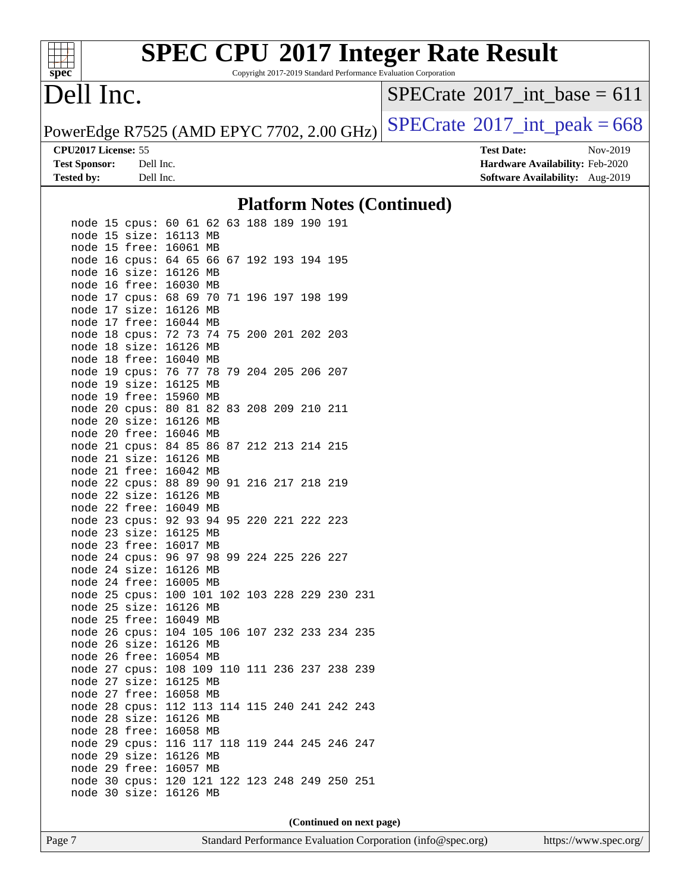

Copyright 2017-2019 Standard Performance Evaluation Corporation

### Dell Inc.

 $SPECTate$ <sup>®</sup>[2017\\_int\\_base =](http://www.spec.org/auto/cpu2017/Docs/result-fields.html#SPECrate2017intbase) 611

PowerEdge R7525 (AMD EPYC 7702, 2.00 GHz)  $SPECrate^{\circ}2017\_int\_peak = 668$  $SPECrate^{\circ}2017\_int\_peak = 668$ 

**[CPU2017 License:](http://www.spec.org/auto/cpu2017/Docs/result-fields.html#CPU2017License)** 55 **[Test Date:](http://www.spec.org/auto/cpu2017/Docs/result-fields.html#TestDate)** Nov-2019 **[Test Sponsor:](http://www.spec.org/auto/cpu2017/Docs/result-fields.html#TestSponsor)** Dell Inc. **[Hardware Availability:](http://www.spec.org/auto/cpu2017/Docs/result-fields.html#HardwareAvailability)** Feb-2020 **[Tested by:](http://www.spec.org/auto/cpu2017/Docs/result-fields.html#Testedby)** Dell Inc. **[Software Availability:](http://www.spec.org/auto/cpu2017/Docs/result-fields.html#SoftwareAvailability)** Aug-2019

#### **[Platform Notes \(Continued\)](http://www.spec.org/auto/cpu2017/Docs/result-fields.html#PlatformNotes)**

|         | node 15 cpus:                                 | 60 61 62                        |    | 63 188 189 190 |                    | 191 |     |
|---------|-----------------------------------------------|---------------------------------|----|----------------|--------------------|-----|-----|
|         | node 15 size:                                 | 16113 MB                        |    |                |                    |     |     |
|         |                                               |                                 |    |                |                    |     |     |
|         | node 15 free:                                 | 16061                           | МB |                |                    |     |     |
|         | node 16 cpus:                                 | 64 65 66                        |    |                | 67 192 193 194 195 |     |     |
| node 16 | size:                                         | 16126 MB                        |    |                |                    |     |     |
|         | node 16 free:                                 | 16030 MB                        |    |                |                    |     |     |
|         | node 17 cpus: 68 69 70                        |                                 |    |                | 71 196 197 198 199 |     |     |
|         | node 17 size:                                 | 16126 MB                        |    |                |                    |     |     |
|         | node 17 free:                                 | 16044 MB                        |    |                |                    |     |     |
|         | node 18 cpus:                                 | 72 73 74                        |    |                | 75 200 201 202 203 |     |     |
|         | node 18 size:                                 | 16126 MB                        |    |                |                    |     |     |
| node 18 | free:                                         | 16040 MB                        |    |                |                    |     |     |
|         | node 19 cpus:                                 | 76 77 78                        |    | 79 204 205 206 |                    | 207 |     |
|         | node 19 size:                                 | 16125 MB                        |    |                |                    |     |     |
|         | node 19 free:                                 | 15960 MB                        |    |                |                    |     |     |
|         | node 20 cpus:                                 | 80 81 82                        |    |                | 83 208 209 210 211 |     |     |
|         | node 20 size:                                 | 16126 MB                        |    |                |                    |     |     |
|         | node 20 free:                                 | 16046 MB                        |    |                |                    |     |     |
|         | node 21 cpus:                                 | 84 85 86                        |    |                | 87 212 213 214 215 |     |     |
|         | node 21 size:                                 | 16126 MB                        |    |                |                    |     |     |
|         | node 21 free:                                 | 16042 MB                        |    |                |                    |     |     |
|         | node 22 cpus:                                 | 88 89 90                        |    | 91 216 217 218 |                    | 219 |     |
|         | node 22 size:                                 | 16126 MB                        |    |                |                    |     |     |
|         | node 22 free:                                 | 16049 MB                        |    |                |                    |     |     |
|         | node 23 cpus:                                 | 92 93 94                        |    |                | 95 220 221 222 223 |     |     |
|         | node 23 size:                                 | 16125 MB                        |    |                |                    |     |     |
|         | node 23 free:                                 | 16017 MB                        |    |                |                    |     |     |
|         | node 24 cpus:                                 | 96 97 98                        |    | 99 224 225 226 |                    | 227 |     |
|         | node 24 size:                                 | 16126 MB                        |    |                |                    |     |     |
|         | node 24 free:                                 | 16005 MB                        |    |                |                    |     |     |
|         | node 25 cpus:                                 | 100 101 102 103 228 229 230     |    |                |                    |     | 231 |
|         | node 25 size:                                 | 16126 MB                        |    |                |                    |     |     |
| node 25 | free:                                         | 16049 MB                        |    |                |                    |     |     |
|         | node 26 cpus:                                 | 104 105 106 107 232 233 234 235 |    |                |                    |     |     |
|         | node 26 size:                                 | 16126 MB                        |    |                |                    |     |     |
|         | node 26 free:                                 | 16054 MB                        |    |                |                    |     |     |
|         | node 27 cpus:                                 | 108 109 110 111 236 237 238     |    |                |                    |     | 239 |
|         | node 27 size:                                 | 16125 MB                        |    |                |                    |     |     |
|         | node 27 free:                                 | 16058 MB                        |    |                |                    |     |     |
|         | node 28 cpus:                                 | 112 113 114 115 240 241 242 243 |    |                |                    |     |     |
|         | node 28 size:                                 | 16126 MB                        |    |                |                    |     |     |
|         | node 28 free:                                 | 16058 MB                        |    |                |                    |     |     |
|         | node 29 cpus:                                 | 116 117 118 119 244 245 246     |    |                |                    |     | 247 |
|         | node 29 size:                                 | 16126 MB                        |    |                |                    |     |     |
|         | node 29 free:                                 | 16057 MB                        |    |                |                    |     |     |
|         | node 30 cpus: 120 121 122 123 248 249 250 251 |                                 |    |                |                    |     |     |
| node 30 | size:                                         | 16126 MB                        |    |                |                    |     |     |
|         |                                               |                                 |    |                |                    |     |     |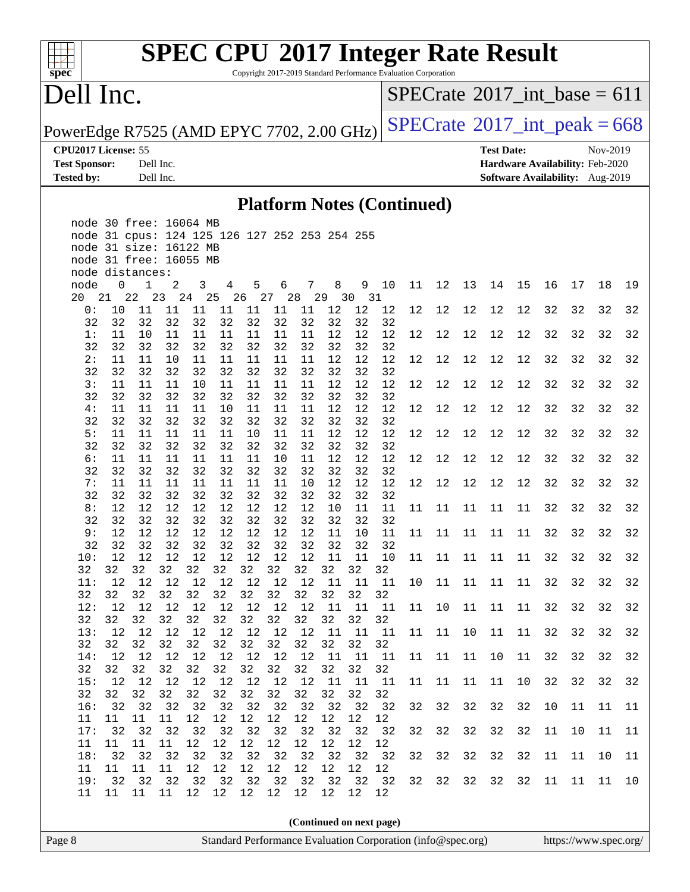#### $\pm$ **[spec](http://www.spec.org/)**

# **[SPEC CPU](http://www.spec.org/auto/cpu2017/Docs/result-fields.html#SPECCPU2017IntegerRateResult)[2017 Integer Rate Result](http://www.spec.org/auto/cpu2017/Docs/result-fields.html#SPECCPU2017IntegerRateResult)**

Copyright 2017-2019 Standard Performance Evaluation Corporation

### Dell Inc.

 $SPECTate$ <sup>®</sup>[2017\\_int\\_base =](http://www.spec.org/auto/cpu2017/Docs/result-fields.html#SPECrate2017intbase) 611

PowerEdge R7525 (AMD EPYC 7702, 2.00 GHz)  $SPECrate^{\circ}2017\_int\_peak = 668$  $SPECrate^{\circ}2017\_int\_peak = 668$ 

**[CPU2017 License:](http://www.spec.org/auto/cpu2017/Docs/result-fields.html#CPU2017License)** 55 **[Test Date:](http://www.spec.org/auto/cpu2017/Docs/result-fields.html#TestDate)** Nov-2019

**[Test Sponsor:](http://www.spec.org/auto/cpu2017/Docs/result-fields.html#TestSponsor)** Dell Inc. **[Hardware Availability:](http://www.spec.org/auto/cpu2017/Docs/result-fields.html#HardwareAvailability)** Feb-2020 **[Tested by:](http://www.spec.org/auto/cpu2017/Docs/result-fields.html#Testedby)** Dell Inc. **[Software Availability:](http://www.spec.org/auto/cpu2017/Docs/result-fields.html#SoftwareAvailability)** Aug-2019

#### **[Platform Notes \(Continued\)](http://www.spec.org/auto/cpu2017/Docs/result-fields.html#PlatformNotes)**

|        |                                                                                      |                 |          | node 30 free: 16064 MB |          |                |                                               |          |          |          |          |                          |    |      |    |      |    |    |    |    |    |
|--------|--------------------------------------------------------------------------------------|-----------------|----------|------------------------|----------|----------------|-----------------------------------------------|----------|----------|----------|----------|--------------------------|----|------|----|------|----|----|----|----|----|
|        |                                                                                      |                 |          |                        |          |                | node 31 cpus: 124 125 126 127 252 253 254 255 |          |          |          |          |                          |    |      |    |      |    |    |    |    |    |
|        |                                                                                      |                 |          | node 31 size: 16122 MB |          |                |                                               |          |          |          |          |                          |    |      |    |      |    |    |    |    |    |
|        |                                                                                      |                 |          | node 31 free: 16055 MB |          |                |                                               |          |          |          |          |                          |    |      |    |      |    |    |    |    |    |
|        |                                                                                      | node distances: |          |                        |          |                |                                               |          |          |          |          |                          |    |      |    |      |    |    |    |    |    |
|        | node                                                                                 | $\mathbf{0}$    | 1        | 2                      | 3        | $\overline{4}$ | 5                                             | 6        |          | 7        | 8        | 9 10                     | 11 | 12   | 13 | 14   | 15 | 16 | 17 | 18 | 19 |
|        | 20 21                                                                                |                 | 22       | 23  24  25             |          |                | 26 27 28 29 30 31                             |          |          |          |          |                          |    |      |    |      |    |    |    |    |    |
|        | 0:                                                                                   | 10              | 11       | 11                     | 11       | 11             | 11                                            | 11       | 11       | 12       | 12       | 12                       | 12 | 12   | 12 | 12   | 12 | 32 | 32 | 32 | 32 |
|        | 32                                                                                   | 32              | 32       | 32                     | 32       | 32             | 32                                            | 32       | 32       | 32       | 32       | 32                       |    |      |    |      |    |    |    |    |    |
|        | 1:                                                                                   | 11              | 10       | 11                     | 11       | 11             | 11                                            | 11       | 11       | 12       | 12       | 12                       | 12 | 12   | 12 | 12   | 12 | 32 | 32 | 32 | 32 |
|        | 32                                                                                   | 32              | 32       | 32                     | 32       | 32             | 32                                            | 32       | 32       | 32       | 32       | 32                       |    |      |    |      |    |    |    |    |    |
|        | 2:                                                                                   | 11              | 11       | 10                     | 11       | 11             | 11                                            | 11       | 11       | 12       | 12       | 12                       | 12 | 12   | 12 | 12   | 12 | 32 | 32 | 32 | 32 |
|        | 32<br>3:                                                                             | 32<br>11        | 32       | 32                     | 32       | 32             | 32                                            | 32       | 32       | 32       | 32<br>12 | 32<br>12                 |    | 12   | 12 | 12   | 12 | 32 | 32 | 32 |    |
|        | 32                                                                                   | 32              | 11<br>32 | 11<br>32               | 10<br>32 | 11<br>32       | 11                                            | 11       | 11<br>32 | 12       | 32       | 32                       | 12 |      |    |      |    |    |    |    | 32 |
|        | 4:                                                                                   | 11              | 11       | 11                     | 11       | 10             | 32<br>11                                      | 32<br>11 | 11       | 32<br>12 | 12       | 12                       | 12 | 12   | 12 | 12   | 12 | 32 | 32 | 32 | 32 |
|        | 32                                                                                   | 32              | 32       | 32                     | 32       | 32             | 32                                            | 32       | 32       | 32       | 32       | 32                       |    |      |    |      |    |    |    |    |    |
|        | 5:                                                                                   | 11              | 11       | 11                     | 11       | 11             | 10                                            | 11       | 11       | 12       | 12       | 12                       | 12 | $12$ | 12 | 12   | 12 | 32 | 32 | 32 | 32 |
|        | 32                                                                                   | 32              | 32       | 32                     | 32       | 32             | 32                                            | 32       | 32       | 32       | 32       | 32                       |    |      |    |      |    |    |    |    |    |
|        | 6:                                                                                   | 11              | 11       | 11                     | 11       | 11             | 11                                            | 10       | 11       | 12       | 12       | 12                       | 12 | 12   | 12 | $12$ | 12 | 32 | 32 | 32 | 32 |
|        | 32                                                                                   | 32              | 32       | 32                     | 32       | 32             | 32                                            | 32       | 32       | 32       | 32       | 32                       |    |      |    |      |    |    |    |    |    |
|        | 7:                                                                                   | 11              | 11       | 11                     | 11       | 11             | 11                                            | 11       | 10       | 12       | 12       | 12                       | 12 | 12   | 12 | 12   | 12 | 32 | 32 | 32 | 32 |
|        | 32                                                                                   | 32              | 32       | 32                     | 32       | 32             | 32                                            | 32       | 32       | 32       | 32       | 32                       |    |      |    |      |    |    |    |    |    |
|        | 8:                                                                                   | 12              | 12       | 12                     | 12       | 12             | 12                                            | 12       | 12       | 10       | 11       | 11                       | 11 | 11   | 11 | 11   | 11 | 32 | 32 | 32 | 32 |
|        | 32                                                                                   | 32              | 32       | 32                     | 32       | 32             | 32                                            | 32       | 32       | 32       | 32       | 32                       |    |      |    |      |    |    |    |    |    |
|        | 9:                                                                                   | 12              | 12       | 12                     | 12       | 12             | 12                                            | 12       | 12       | 11       | 10       | 11                       | 11 | 11   | 11 | 11   | 11 | 32 | 32 | 32 | 32 |
|        | 32                                                                                   | 32              | 32       | 32                     | 32       | 32             | 32                                            | 32       | 32       | 32       | 32       | 32                       |    |      |    |      |    |    |    |    |    |
|        | 10:                                                                                  | 12              | 12       | 12                     | 12       | 12             | 12                                            | 12       | 12       | 11       | 11       | 10                       | 11 | 11   | 11 | 11   | 11 | 32 | 32 | 32 | 32 |
|        | 32                                                                                   | 32              | 32       | 32                     | 32       | 32             | 32                                            | 32       | 32       | 32       | 32       | 32                       |    |      |    |      |    |    |    |    |    |
|        | 11:                                                                                  | 12              | 12       | 12                     | 12       | 12             | 12                                            | 12       | 12       | 11       | 11       | 11                       | 10 | 11   | 11 | 11   | 11 | 32 | 32 | 32 | 32 |
|        | 32                                                                                   | 32              | 32       | 32                     | 32       | 32             | 32                                            | 32       | 32       | 32       | 32       | 32                       |    |      |    |      |    |    |    |    |    |
|        | 12:                                                                                  | 12              | 12       | 12                     | 12       | 12             | 12                                            | 12       | 12       | 11       | 11       | 11                       | 11 | 10   | 11 | 11   | 11 | 32 | 32 | 32 | 32 |
|        | 32<br>13:                                                                            | 32<br>12        | 32<br>12 | 32<br>12               | 32<br>12 | 32<br>12       | 32<br>12                                      | 32<br>12 | 32<br>12 | 32<br>11 | 32<br>11 | 32<br>11                 | 11 | 11   | 10 | 11   | 11 | 32 | 32 | 32 | 32 |
|        | 32                                                                                   | 32              | 32       | 32                     | 32       | 32             | 32                                            | 32       | 32       | 32       | 32       | 32                       |    |      |    |      |    |    |    |    |    |
|        | 14:                                                                                  | 12              | 12       | 12                     | 12       | 12             | 12                                            | 12       | 12       | 11       | 11       | 11                       | 11 | 11   | 11 | 10   | 11 | 32 | 32 | 32 | 32 |
|        | 32                                                                                   | 32              | 32       | 32                     | 32       | 32             | 32                                            | 32       | 32       | 32       | 32       | 32                       |    |      |    |      |    |    |    |    |    |
|        | 15:                                                                                  | 12              | 12       | 12                     | 12       | 12             | 12                                            | 12       | 12       | 11       | 11       | 11                       | 11 | 11   | 11 | 11   | 10 | 32 | 32 | 32 | 32 |
|        | 32                                                                                   | 32              | 32       | 32                     | 32       | 32             | 32                                            | 32       | 32       | 32       | 32       | 32                       |    |      |    |      |    |    |    |    |    |
|        | 16:                                                                                  | 32              | 32       | 32                     | 32       | 32             | 32                                            | 32       | 32       | 32       | 32       | 32                       | 32 | 32   | 32 | 32   | 32 | 10 | 11 | 11 | 11 |
|        | 11                                                                                   | 11              | 11       | 11                     | 12       | 12             | 12                                            | 12       | 12       | 12       | 12       | 12                       |    |      |    |      |    |    |    |    |    |
|        | 17:                                                                                  | 32              | 32       | 32                     | 32       | 32             | 32                                            | 32       | 32       | 32       | 32       | 32                       | 32 | 32   | 32 | 32   | 32 | 11 | 10 | 11 | 11 |
|        | 11                                                                                   | 11              | 11       | $11\,$                 | 12       | 12             | $1\,2$                                        | $12\,$   | $1\,2$   | 12       | $12$     | 12                       |    |      |    |      |    |    |    |    |    |
|        | 18:                                                                                  | 32              | 32       | 32                     | 32       | 32             | 32                                            | 32       | 32       | 32       | 32       | 32                       | 32 | 32   | 32 | 32   | 32 | 11 | 11 | 10 | 11 |
|        | 11                                                                                   | 11              | 11       | 11                     | 12       | 12             | 12                                            | 12       | 12       | 12       | 12       | 12                       |    |      |    |      |    |    |    |    |    |
|        | 19:                                                                                  | 32              | 32       | 32                     | 32       | 32             | 32                                            | 32       | 32       | 32       | 32       | 32                       | 32 | 32   | 32 | 32   | 32 | 11 | 11 | 11 | 10 |
|        | 11                                                                                   | 11              | 11       | 11                     | 12       | 12             | 12                                            | 12       | 12       | 12       | 12       | 12                       |    |      |    |      |    |    |    |    |    |
|        |                                                                                      |                 |          |                        |          |                |                                               |          |          |          |          |                          |    |      |    |      |    |    |    |    |    |
|        |                                                                                      |                 |          |                        |          |                |                                               |          |          |          |          | (Continued on next page) |    |      |    |      |    |    |    |    |    |
| Page 8 | Standard Performance Evaluation Corporation (info@spec.org)<br>https://www.spec.org/ |                 |          |                        |          |                |                                               |          |          |          |          |                          |    |      |    |      |    |    |    |    |    |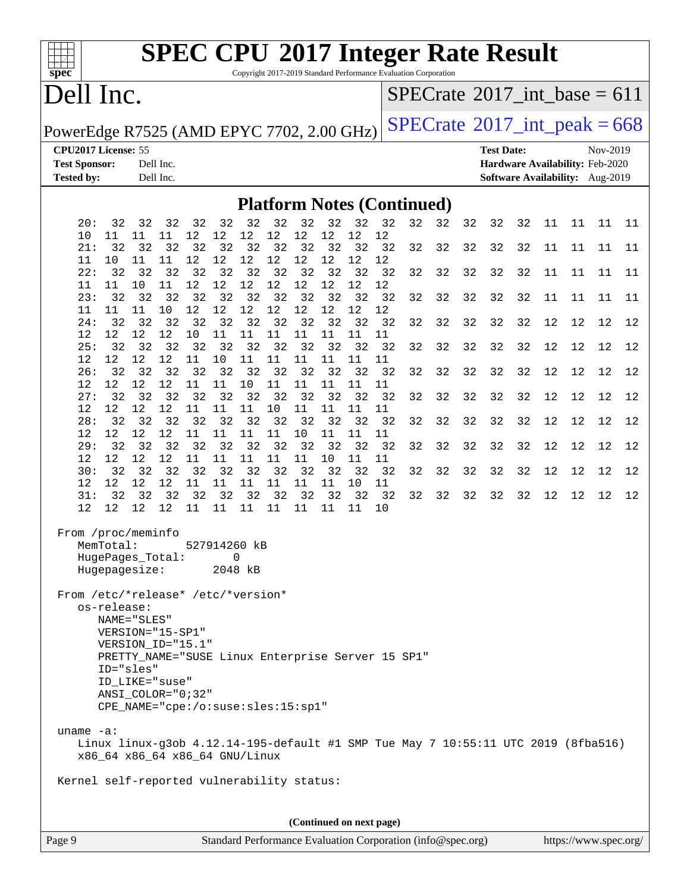

Copyright 2017-2019 Standard Performance Evaluation Corporation

## Dell Inc.

 $SPECTate$ <sup>®</sup>[2017\\_int\\_base =](http://www.spec.org/auto/cpu2017/Docs/result-fields.html#SPECrate2017intbase) 611

PowerEdge R7525 (AMD EPYC 7702, 2.00 GHz)  $\text{SPECrate}^{\circ}2017\_int\_peak = 668$  $\text{SPECrate}^{\circ}2017\_int\_peak = 668$  $\text{SPECrate}^{\circ}2017\_int\_peak = 668$ 

**[CPU2017 License:](http://www.spec.org/auto/cpu2017/Docs/result-fields.html#CPU2017License)** 55 **[Test Date:](http://www.spec.org/auto/cpu2017/Docs/result-fields.html#TestDate)** Nov-2019 **[Test Sponsor:](http://www.spec.org/auto/cpu2017/Docs/result-fields.html#TestSponsor)** Dell Inc. **[Hardware Availability:](http://www.spec.org/auto/cpu2017/Docs/result-fields.html#HardwareAvailability)** Feb-2020 **[Tested by:](http://www.spec.org/auto/cpu2017/Docs/result-fields.html#Testedby)** Dell Inc. **[Software Availability:](http://www.spec.org/auto/cpu2017/Docs/result-fields.html#SoftwareAvailability)** Aug-2019

#### **[Platform Notes \(Continued\)](http://www.spec.org/auto/cpu2017/Docs/result-fields.html#PlatformNotes)**

| 32<br>32<br>32 32 32<br>20:<br>32<br>32<br>32<br>12<br>12<br>11<br>11<br>12<br>12<br>10<br>11                                                                                                                                                            | 32<br>12<br>12               | 32<br>32<br>12<br>12 | 32<br>32 | 32 | 32 | 32 | 11 | 11 | 11 | 11 |
|----------------------------------------------------------------------------------------------------------------------------------------------------------------------------------------------------------------------------------------------------------|------------------------------|----------------------|----------|----|----|----|----|----|----|----|
| 21:<br>32<br>32 32<br>32<br>32<br>32<br>12<br>12<br>12<br>12<br>11<br>10<br>11<br>11                                                                                                                                                                     | 32 32<br>32<br>12<br>12      | 32<br>32<br>12<br>12 | 32<br>32 | 32 | 32 | 32 | 11 | 11 | 11 | 11 |
| 32<br>32<br>32<br>32<br>22:<br>32<br>32<br>32                                                                                                                                                                                                            | 32<br>32                     | 32<br>32             | 32<br>32 | 32 | 32 | 32 | 11 | 11 | 11 | 11 |
| 12<br>12<br>11<br>12<br>12<br>11<br>11<br>10<br>32<br>32<br>32<br>23:<br>32<br>32<br>32                                                                                                                                                                  | $12$<br>12<br>32<br>32<br>32 | 12<br>12<br>32<br>32 | 32<br>32 | 32 | 32 | 32 | 11 | 11 | 11 | 11 |
| 12<br>12<br>12<br>10<br>12<br>11<br>11<br>11<br>32<br>32<br>32<br>32<br>32<br>32<br>24:                                                                                                                                                                  | 12<br>12<br>32<br>32<br>32   | 12<br>12<br>32<br>32 | 32<br>32 | 32 | 32 | 32 | 12 | 12 | 12 | 12 |
| 10<br>12<br>12<br>12<br>12<br>11<br>11<br>11<br>32<br>32<br>25:<br>32<br>32<br>32<br>32                                                                                                                                                                  | 11<br>11<br>32<br>32<br>32   | 11<br>11<br>32<br>32 | 32<br>32 | 32 | 32 | 32 | 12 | 12 | 12 | 12 |
| $12 \overline{ }$<br>$12 \overline{ }$<br>12<br>12<br>11<br>10<br>11<br>11<br>32<br>32<br>32<br>26:<br>32<br>32<br>32                                                                                                                                    | 11<br>11<br>32<br>32<br>32   | 11<br>11<br>32<br>32 | 32<br>32 | 32 | 32 | 32 | 12 | 12 | 12 | 12 |
| 12<br>12<br>12<br>11<br>11<br>10<br>11<br>12<br>27:<br>32<br>32<br>32<br>32<br>32<br>32<br>32                                                                                                                                                            | 11<br>11<br>32<br>32         | 11<br>11<br>32<br>32 | 32<br>32 | 32 | 32 | 32 | 12 | 12 | 12 | 12 |
| 12<br>11<br>12<br>12<br>$12 \,$<br>11<br>11<br>10<br>32<br>32<br>32<br>28:<br>32<br>32<br>32<br>32                                                                                                                                                       | 11<br>11<br>32<br>32         | 11<br>11<br>32<br>32 | 32<br>32 | 32 | 32 | 32 | 12 | 12 | 12 | 12 |
| 12<br>12<br>12<br>12<br>11<br>11<br>11<br>11<br>32<br>32<br>32<br>29:<br>32<br>32<br>32                                                                                                                                                                  | 10<br>11<br>32<br>32<br>32   | 11<br>11<br>32<br>32 | 32<br>32 | 32 | 32 | 32 | 12 | 12 | 12 | 12 |
| 12<br>12<br>12<br>11<br>11<br>11<br>11<br>12<br>32<br>32<br>32<br>32<br>32<br>32<br>30:                                                                                                                                                                  | 11<br>10<br>32<br>32<br>32   | 11<br>11<br>32<br>32 | 32<br>32 | 32 | 32 | 32 | 12 | 12 | 12 | 12 |
| 12<br>12<br>12<br>12<br>11<br>11<br>11<br>11<br>32<br>32<br>32<br>32<br>31:<br>32<br>32<br>32                                                                                                                                                            | 11<br>11<br>32<br>32         | 10<br>11<br>32<br>32 | 32<br>32 | 32 | 32 | 32 | 12 | 12 | 12 | 12 |
| 12 11<br>11<br>$11 \quad 11$<br>12<br>12<br>12                                                                                                                                                                                                           | 11<br>11                     | 11<br>10             |          |    |    |    |    |    |    |    |
| From /proc/meminfo<br>MemTotal:<br>527914260 kB<br>HugePages_Total:<br>0<br>Hugepagesize:<br>2048 kB                                                                                                                                                     |                              |                      |          |    |    |    |    |    |    |    |
| From /etc/*release* /etc/*version*<br>os-release:<br>NAME="SLES"<br>VERSION="15-SP1"<br>VERSION_ID="15.1"<br>PRETTY_NAME="SUSE Linux Enterprise Server 15 SP1"<br>ID="sles"<br>ID_LIKE="suse"<br>ANSI COLOR="0;32"<br>CPE_NAME="cpe:/o:suse:sles:15:sp1" |                              |                      |          |    |    |    |    |    |    |    |
| uname $-a$ :<br>Linux linux-g3ob 4.12.14-195-default #1 SMP Tue May 7 10:55:11 UTC 2019 (8fba516)<br>x86_64 x86_64 x86_64 GNU/Linux                                                                                                                      |                              |                      |          |    |    |    |    |    |    |    |
| Kernel self-reported vulnerability status:                                                                                                                                                                                                               |                              |                      |          |    |    |    |    |    |    |    |
|                                                                                                                                                                                                                                                          |                              |                      |          |    |    |    |    |    |    |    |
| (Continued on next page)                                                                                                                                                                                                                                 |                              |                      |          |    |    |    |    |    |    |    |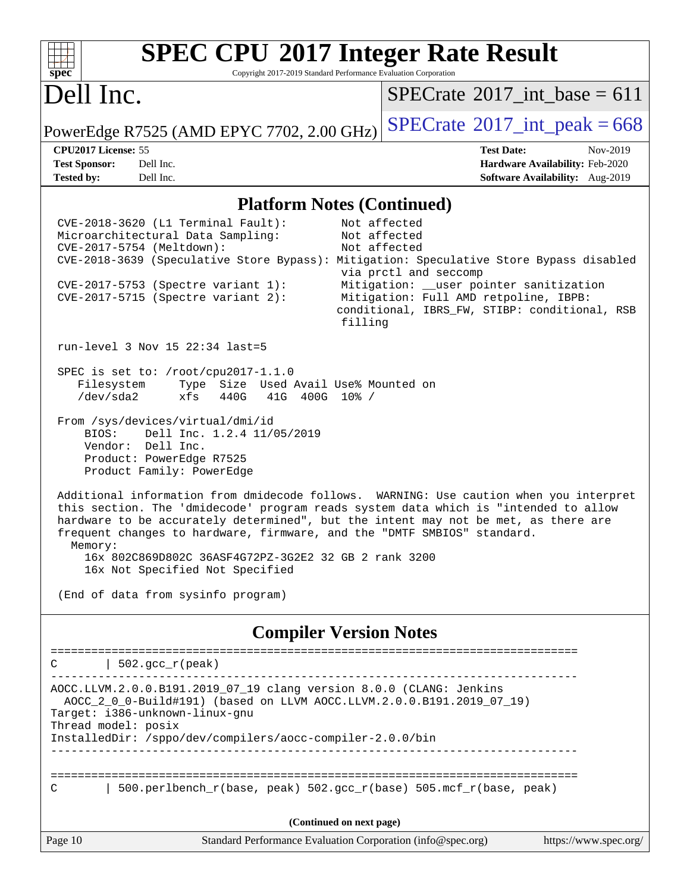Copyright 2017-2019 Standard Performance Evaluation Corporation

## Dell Inc.

**[spec](http://www.spec.org/)**

 $+\ +$ 

 $SPECrate$ <sup>®</sup>[2017\\_int\\_base =](http://www.spec.org/auto/cpu2017/Docs/result-fields.html#SPECrate2017intbase) 611

PowerEdge R7525 (AMD EPYC 7702, 2.00 GHz)  $\text{SPECrate}^{\circ}2017\_int\_peak = 668$  $\text{SPECrate}^{\circ}2017\_int\_peak = 668$  $\text{SPECrate}^{\circ}2017\_int\_peak = 668$ 

**[CPU2017 License:](http://www.spec.org/auto/cpu2017/Docs/result-fields.html#CPU2017License)** 55 **[Test Date:](http://www.spec.org/auto/cpu2017/Docs/result-fields.html#TestDate)** Nov-2019 **[Test Sponsor:](http://www.spec.org/auto/cpu2017/Docs/result-fields.html#TestSponsor)** Dell Inc. **[Hardware Availability:](http://www.spec.org/auto/cpu2017/Docs/result-fields.html#HardwareAvailability)** Feb-2020 **[Tested by:](http://www.spec.org/auto/cpu2017/Docs/result-fields.html#Testedby)** Dell Inc. **[Software Availability:](http://www.spec.org/auto/cpu2017/Docs/result-fields.html#SoftwareAvailability)** Aug-2019

#### **[Platform Notes \(Continued\)](http://www.spec.org/auto/cpu2017/Docs/result-fields.html#PlatformNotes)**

Page 10 Standard Performance Evaluation Corporation [\(info@spec.org\)](mailto:info@spec.org) <https://www.spec.org/> CVE-2018-3620 (L1 Terminal Fault): Not affected Microarchitectural Data Sampling: Not affected CVE-2017-5754 (Meltdown): Not affected CVE-2018-3639 (Speculative Store Bypass): Mitigation: Speculative Store Bypass disabled via prctl and seccomp CVE-2017-5753 (Spectre variant 1): Mitigation: \_\_user pointer sanitization CVE-2017-5715 (Spectre variant 2): Mitigation: Full AMD retpoline, IBPB: conditional, IBRS\_FW, STIBP: conditional, RSB filling run-level 3 Nov 15 22:34 last=5 SPEC is set to: /root/cpu2017-1.1.0<br>Filesystem Type Size Used. Type Size Used Avail Use% Mounted on /dev/sda2 xfs 440G 41G 400G 10% / From /sys/devices/virtual/dmi/id BIOS: Dell Inc. 1.2.4 11/05/2019 Vendor: Dell Inc. Product: PowerEdge R7525 Product Family: PowerEdge Additional information from dmidecode follows. WARNING: Use caution when you interpret this section. The 'dmidecode' program reads system data which is "intended to allow hardware to be accurately determined", but the intent may not be met, as there are frequent changes to hardware, firmware, and the "DMTF SMBIOS" standard. Memory: 16x 802C869D802C 36ASF4G72PZ-3G2E2 32 GB 2 rank 3200 16x Not Specified Not Specified (End of data from sysinfo program) **[Compiler Version Notes](http://www.spec.org/auto/cpu2017/Docs/result-fields.html#CompilerVersionNotes)** ==============================================================================  $C \qquad | \quad 502.\text{gcc\_r}(\text{peak})$ ------------------------------------------------------------------------------ AOCC.LLVM.2.0.0.B191.2019\_07\_19 clang version 8.0.0 (CLANG: Jenkins AOCC\_2\_0\_0-Build#191) (based on LLVM AOCC.LLVM.2.0.0.B191.2019\_07\_19) Target: i386-unknown-linux-gnu Thread model: posix InstalledDir: /sppo/dev/compilers/aocc-compiler-2.0.0/bin ------------------------------------------------------------------------------ ============================================================================== C  $\vert$  500.perlbench r(base, peak) 502.gcc r(base) 505.mcf r(base, peak) **(Continued on next page)**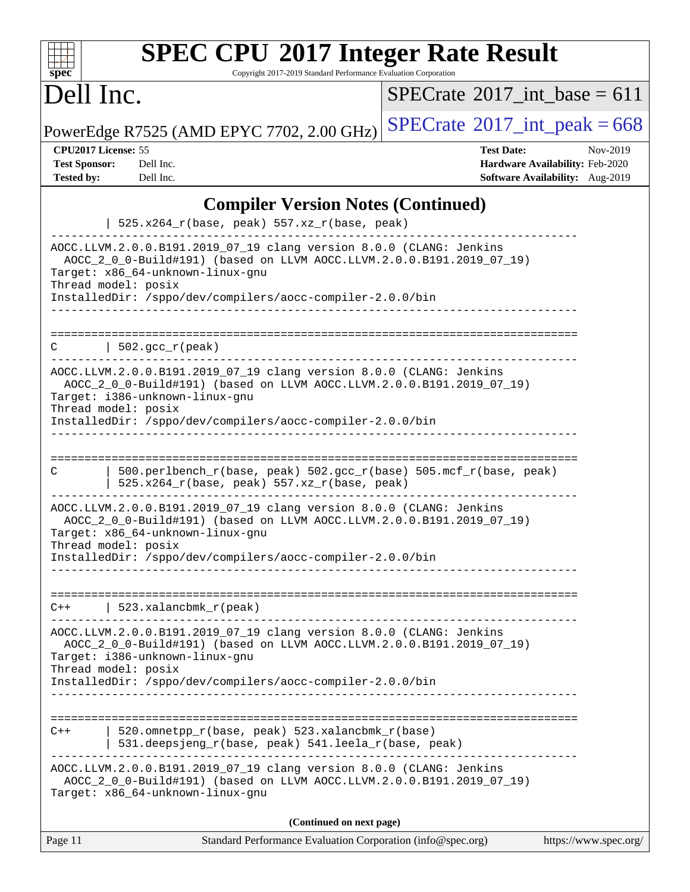Copyright 2017-2019 Standard Performance Evaluation Corporation

## Dell Inc.

**[spec](http://www.spec.org/)**

 $SPECrate$ <sup>®</sup>[2017\\_int\\_base =](http://www.spec.org/auto/cpu2017/Docs/result-fields.html#SPECrate2017intbase) 611

PowerEdge R7525 (AMD EPYC 7702, 2.00 GHz)  $\left|$  [SPECrate](http://www.spec.org/auto/cpu2017/Docs/result-fields.html#SPECrate2017intpeak)<sup>®</sup>[2017\\_int\\_peak = 6](http://www.spec.org/auto/cpu2017/Docs/result-fields.html#SPECrate2017intpeak)68

| <b>CPU2017 License: 55</b> |  |
|----------------------------|--|
|----------------------------|--|

**[CPU2017 License:](http://www.spec.org/auto/cpu2017/Docs/result-fields.html#CPU2017License)** 55 **[Test Date:](http://www.spec.org/auto/cpu2017/Docs/result-fields.html#TestDate)** Nov-2019 **[Test Sponsor:](http://www.spec.org/auto/cpu2017/Docs/result-fields.html#TestSponsor)** Dell Inc. **[Hardware Availability:](http://www.spec.org/auto/cpu2017/Docs/result-fields.html#HardwareAvailability)** Feb-2020 **[Tested by:](http://www.spec.org/auto/cpu2017/Docs/result-fields.html#Testedby)** Dell Inc. **[Software Availability:](http://www.spec.org/auto/cpu2017/Docs/result-fields.html#SoftwareAvailability)** Aug-2019

### **[Compiler Version Notes \(Continued\)](http://www.spec.org/auto/cpu2017/Docs/result-fields.html#CompilerVersionNotes)**

|         | $525.x264_r(base, peak) 557.xz_r(base, peak)$                                                                                                                                                           |                       |
|---------|---------------------------------------------------------------------------------------------------------------------------------------------------------------------------------------------------------|-----------------------|
|         | AOCC.LLVM.2.0.0.B191.2019_07_19 clang version 8.0.0 (CLANG: Jenkins<br>AOCC_2_0_0-Build#191) (based on LLVM AOCC.LLVM.2.0.0.B191.2019_07_19)<br>Target: x86_64-unknown-linux-gnu<br>Thread model: posix |                       |
|         | InstalledDir: /sppo/dev/compilers/aocc-compiler-2.0.0/bin                                                                                                                                               |                       |
| C       | $\vert$ 502.gcc_r(peak)                                                                                                                                                                                 |                       |
|         | AOCC.LLVM.2.0.0.B191.2019_07_19 clang version 8.0.0 (CLANG: Jenkins<br>AOCC_2_0_0-Build#191) (based on LLVM AOCC.LLVM.2.0.0.B191.2019_07_19)<br>Target: i386-unknown-linux-gnu<br>Thread model: posix   |                       |
|         | InstalledDir: /sppo/dev/compilers/aocc-compiler-2.0.0/bin                                                                                                                                               |                       |
| C       | 500.perlbench_r(base, peak) 502.gcc_r(base) 505.mcf_r(base, peak)<br>$525.x264_r(base, peak) 557.xz_r(base, peak)$                                                                                      |                       |
|         | AOCC.LLVM.2.0.0.B191.2019_07_19 clang version 8.0.0 (CLANG: Jenkins<br>AOCC_2_0_0-Build#191) (based on LLVM AOCC.LLVM.2.0.0.B191.2019_07_19)<br>Target: x86_64-unknown-linux-gnu<br>Thread model: posix |                       |
|         | InstalledDir: /sppo/dev/compilers/aocc-compiler-2.0.0/bin                                                                                                                                               |                       |
| $C++$   | 523.xalancbmk_r(peak)                                                                                                                                                                                   |                       |
|         | AOCC.LLVM.2.0.0.B191.2019_07_19 clang version 8.0.0 (CLANG: Jenkins<br>AOCC_2_0_0-Build#191) (based on LLVM AOCC.LLVM.2.0.0.B191.2019_07_19)<br>Target: i386-unknown-linux-gnu<br>Thread model: posix   |                       |
|         | InstalledDir: /sppo/dev/compilers/aocc-compiler-2.0.0/bin                                                                                                                                               |                       |
| $C++$   | ==================<br>520.omnetpp_r(base, peak) 523.xalancbmk_r(base)<br>531.deepsjeng_r(base, peak) 541.leela_r(base, peak)                                                                            |                       |
|         | AOCC.LLVM.2.0.0.B191.2019_07_19 clang version 8.0.0 (CLANG: Jenkins<br>AOCC_2_0_0-Build#191) (based on LLVM AOCC.LLVM.2.0.0.B191.2019_07_19)<br>Target: x86_64-unknown-linux-gnu                        |                       |
|         | (Continued on next page)                                                                                                                                                                                |                       |
| Page 11 | Standard Performance Evaluation Corporation (info@spec.org)                                                                                                                                             | https://www.spec.org/ |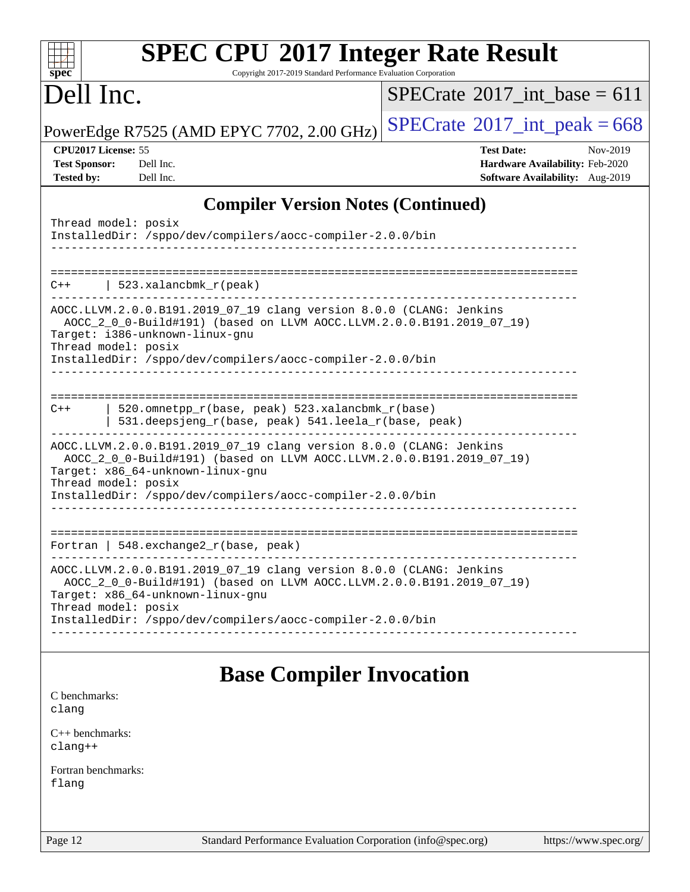| <b>SPEC CPU®2017 Integer Rate Result</b>                                                                |                                             |
|---------------------------------------------------------------------------------------------------------|---------------------------------------------|
| Copyright 2017-2019 Standard Performance Evaluation Corporation<br>spec <sup>®</sup>                    |                                             |
| Dell Inc.                                                                                               | $SPECrate^{\circledast}2017$ int base = 611 |
| PowerEdge R7525 (AMD EPYC 7702, 2.00 GHz)                                                               | $SPECrate$ <sup>®</sup> 2017_int_peak = 668 |
| CPU2017 License: 55                                                                                     | <b>Test Date:</b><br>Nov-2019               |
| <b>Test Sponsor:</b><br>Dell Inc.                                                                       | Hardware Availability: Feb-2020             |
| <b>Tested by:</b><br>Dell Inc.                                                                          | Software Availability: Aug-2019             |
| <b>Compiler Version Notes (Continued)</b>                                                               |                                             |
| Thread model: posix                                                                                     |                                             |
| InstalledDir: /sppo/dev/compilers/aocc-compiler-2.0.0/bin                                               |                                             |
|                                                                                                         |                                             |
|                                                                                                         |                                             |
| 523.xalancbmk_r(peak)<br>$C++$                                                                          |                                             |
| AOCC.LLVM.2.0.0.B191.2019_07_19 clang version 8.0.0 (CLANG: Jenkins                                     |                                             |
| AOCC_2_0_0-Build#191) (based on LLVM AOCC.LLVM.2.0.0.B191.2019_07_19)<br>Target: i386-unknown-linux-gnu |                                             |
| Thread model: posix                                                                                     |                                             |
| InstalledDir: /sppo/dev/compilers/aocc-compiler-2.0.0/bin                                               |                                             |
|                                                                                                         |                                             |
|                                                                                                         |                                             |
| 520.omnetpp_r(base, peak) 523.xalancbmk_r(base)<br>$C++$                                                |                                             |
| 531.deepsjeng_r(base, peak) 541.leela_r(base, peak)                                                     |                                             |
| AOCC.LLVM.2.0.0.B191.2019_07_19 clang version 8.0.0 (CLANG: Jenkins                                     |                                             |
| AOCC_2_0_0-Build#191) (based on LLVM AOCC.LLVM.2.0.0.B191.2019_07_19)                                   |                                             |
| Target: x86_64-unknown-linux-gnu<br>Thread model: posix                                                 |                                             |
| InstalledDir: /sppo/dev/compilers/aocc-compiler-2.0.0/bin                                               |                                             |
|                                                                                                         |                                             |
|                                                                                                         |                                             |
| Fortran   548. exchange2_r(base, peak)                                                                  |                                             |
| AOCC.LLVM.2.0.0.B191.2019_07_19 clang version 8.0.0 (CLANG: Jenkins                                     |                                             |
| AOCC_2_0_0-Build#191) (based on LLVM AOCC.LLVM.2.0.0.B191.2019_07_19)                                   |                                             |
| Target: x86_64-unknown-linux-gnu<br>Thread model: posix                                                 |                                             |
| InstalledDir: /sppo/dev/compilers/aocc-compiler-2.0.0/bin                                               |                                             |
|                                                                                                         |                                             |
|                                                                                                         |                                             |
|                                                                                                         |                                             |

### **[Base Compiler Invocation](http://www.spec.org/auto/cpu2017/Docs/result-fields.html#BaseCompilerInvocation)**

[C benchmarks](http://www.spec.org/auto/cpu2017/Docs/result-fields.html#Cbenchmarks): [clang](http://www.spec.org/cpu2017/results/res2019q4/cpu2017-20191208-20247.flags.html#user_CCbase_clang-c)

[C++ benchmarks:](http://www.spec.org/auto/cpu2017/Docs/result-fields.html#CXXbenchmarks) [clang++](http://www.spec.org/cpu2017/results/res2019q4/cpu2017-20191208-20247.flags.html#user_CXXbase_clang-cpp)

[Fortran benchmarks](http://www.spec.org/auto/cpu2017/Docs/result-fields.html#Fortranbenchmarks): [flang](http://www.spec.org/cpu2017/results/res2019q4/cpu2017-20191208-20247.flags.html#user_FCbase_flang)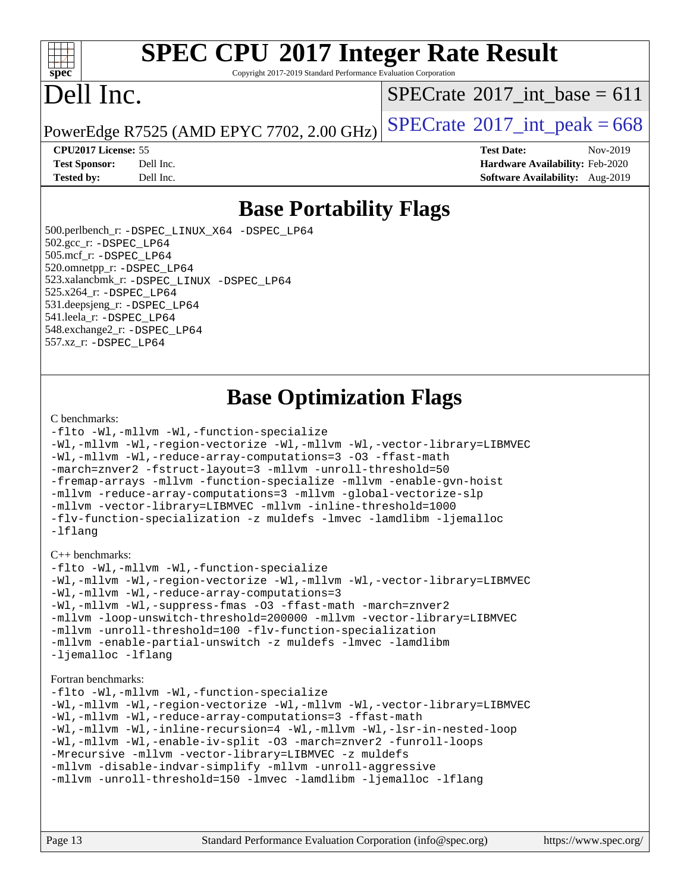#### dd h **[spec](http://www.spec.org/)**

# **[SPEC CPU](http://www.spec.org/auto/cpu2017/Docs/result-fields.html#SPECCPU2017IntegerRateResult)[2017 Integer Rate Result](http://www.spec.org/auto/cpu2017/Docs/result-fields.html#SPECCPU2017IntegerRateResult)**

Copyright 2017-2019 Standard Performance Evaluation Corporation

## Dell Inc.

 $SPECTate$ <sup>®</sup>[2017\\_int\\_base =](http://www.spec.org/auto/cpu2017/Docs/result-fields.html#SPECrate2017intbase) 611

PowerEdge R7525 (AMD EPYC 7702, 2.00 GHz)  $\text{SPECrate}^{\circ}2017\_int\_peak = 668$  $\text{SPECrate}^{\circ}2017\_int\_peak = 668$  $\text{SPECrate}^{\circ}2017\_int\_peak = 668$ 

#### **[CPU2017 License:](http://www.spec.org/auto/cpu2017/Docs/result-fields.html#CPU2017License)** 55 **[Test Date:](http://www.spec.org/auto/cpu2017/Docs/result-fields.html#TestDate)** Nov-2019

**[Test Sponsor:](http://www.spec.org/auto/cpu2017/Docs/result-fields.html#TestSponsor)** Dell Inc. **[Hardware Availability:](http://www.spec.org/auto/cpu2017/Docs/result-fields.html#HardwareAvailability)** Feb-2020 **[Tested by:](http://www.spec.org/auto/cpu2017/Docs/result-fields.html#Testedby)** Dell Inc. **[Software Availability:](http://www.spec.org/auto/cpu2017/Docs/result-fields.html#SoftwareAvailability)** Aug-2019

### **[Base Portability Flags](http://www.spec.org/auto/cpu2017/Docs/result-fields.html#BasePortabilityFlags)**

 500.perlbench\_r: [-DSPEC\\_LINUX\\_X64](http://www.spec.org/cpu2017/results/res2019q4/cpu2017-20191208-20247.flags.html#b500.perlbench_r_basePORTABILITY_DSPEC_LINUX_X64) [-DSPEC\\_LP64](http://www.spec.org/cpu2017/results/res2019q4/cpu2017-20191208-20247.flags.html#b500.perlbench_r_baseEXTRA_PORTABILITY_DSPEC_LP64) 502.gcc\_r: [-DSPEC\\_LP64](http://www.spec.org/cpu2017/results/res2019q4/cpu2017-20191208-20247.flags.html#suite_baseEXTRA_PORTABILITY502_gcc_r_DSPEC_LP64) 505.mcf\_r: [-DSPEC\\_LP64](http://www.spec.org/cpu2017/results/res2019q4/cpu2017-20191208-20247.flags.html#suite_baseEXTRA_PORTABILITY505_mcf_r_DSPEC_LP64) 520.omnetpp\_r: [-DSPEC\\_LP64](http://www.spec.org/cpu2017/results/res2019q4/cpu2017-20191208-20247.flags.html#suite_baseEXTRA_PORTABILITY520_omnetpp_r_DSPEC_LP64) 523.xalancbmk\_r: [-DSPEC\\_LINUX](http://www.spec.org/cpu2017/results/res2019q4/cpu2017-20191208-20247.flags.html#b523.xalancbmk_r_basePORTABILITY_DSPEC_LINUX) [-DSPEC\\_LP64](http://www.spec.org/cpu2017/results/res2019q4/cpu2017-20191208-20247.flags.html#suite_baseEXTRA_PORTABILITY523_xalancbmk_r_DSPEC_LP64) 525.x264\_r: [-DSPEC\\_LP64](http://www.spec.org/cpu2017/results/res2019q4/cpu2017-20191208-20247.flags.html#suite_baseEXTRA_PORTABILITY525_x264_r_DSPEC_LP64) 531.deepsjeng\_r: [-DSPEC\\_LP64](http://www.spec.org/cpu2017/results/res2019q4/cpu2017-20191208-20247.flags.html#suite_baseEXTRA_PORTABILITY531_deepsjeng_r_DSPEC_LP64) 541.leela\_r: [-DSPEC\\_LP64](http://www.spec.org/cpu2017/results/res2019q4/cpu2017-20191208-20247.flags.html#suite_baseEXTRA_PORTABILITY541_leela_r_DSPEC_LP64) 548.exchange2\_r: [-DSPEC\\_LP64](http://www.spec.org/cpu2017/results/res2019q4/cpu2017-20191208-20247.flags.html#suite_baseEXTRA_PORTABILITY548_exchange2_r_DSPEC_LP64) 557.xz\_r: [-DSPEC\\_LP64](http://www.spec.org/cpu2017/results/res2019q4/cpu2017-20191208-20247.flags.html#suite_baseEXTRA_PORTABILITY557_xz_r_DSPEC_LP64)

### **[Base Optimization Flags](http://www.spec.org/auto/cpu2017/Docs/result-fields.html#BaseOptimizationFlags)**

#### [C benchmarks](http://www.spec.org/auto/cpu2017/Docs/result-fields.html#Cbenchmarks):

```
-flto -Wl,-mllvm -Wl,-function-specialize
-Wl,-mllvm -Wl,-region-vectorize -Wl,-mllvm -Wl,-vector-library=LIBMVEC
-Wl,-mllvm -Wl,-reduce-array-computations=3 -O3 -ffast-math
-march=znver2 -fstruct-layout=3 -mllvm -unroll-threshold=50
-fremap-arrays -mllvm -function-specialize -mllvm -enable-gvn-hoist
-mllvm -reduce-array-computations=3 -mllvm -global-vectorize-slp
-mllvm -vector-library=LIBMVEC -mllvm -inline-threshold=1000
-flv-function-specialization -z muldefs -lmvec -lamdlibm -ljemalloc
-lflang
```
#### [C++ benchmarks:](http://www.spec.org/auto/cpu2017/Docs/result-fields.html#CXXbenchmarks)

```
-flto -Wl,-mllvm -Wl,-function-specialize
-Wl,-mllvm -Wl,-region-vectorize -Wl,-mllvm -Wl,-vector-library=LIBMVEC
-Wl,-mllvm -Wl,-reduce-array-computations=3
-Wl,-mllvm -Wl,-suppress-fmas -O3 -ffast-math -march=znver2
-mllvm -loop-unswitch-threshold=200000 -mllvm -vector-library=LIBMVEC
-mllvm -unroll-threshold=100 -flv-function-specialization
-mllvm -enable-partial-unswitch -z muldefs -lmvec -lamdlibm
-ljemalloc -lflang
```
#### [Fortran benchmarks](http://www.spec.org/auto/cpu2017/Docs/result-fields.html#Fortranbenchmarks):

```
-flto -Wl,-mllvm -Wl,-function-specialize
-Wl,-mllvm -Wl,-region-vectorize -Wl,-mllvm -Wl,-vector-library=LIBMVEC
-Wl,-mllvm -Wl,-reduce-array-computations=3 -ffast-math
-Wl,-mllvm -Wl,-inline-recursion=4 -Wl,-mllvm -Wl,-lsr-in-nested-loop
-Wl,-mllvm -Wl,-enable-iv-split -O3 -march=znver2 -funroll-loops
-Mrecursive -mllvm -vector-library=LIBMVEC -z muldefs
-mllvm -disable-indvar-simplify -mllvm -unroll-aggressive
-mllvm -unroll-threshold=150 -lmvec -lamdlibm -ljemalloc -lflang
```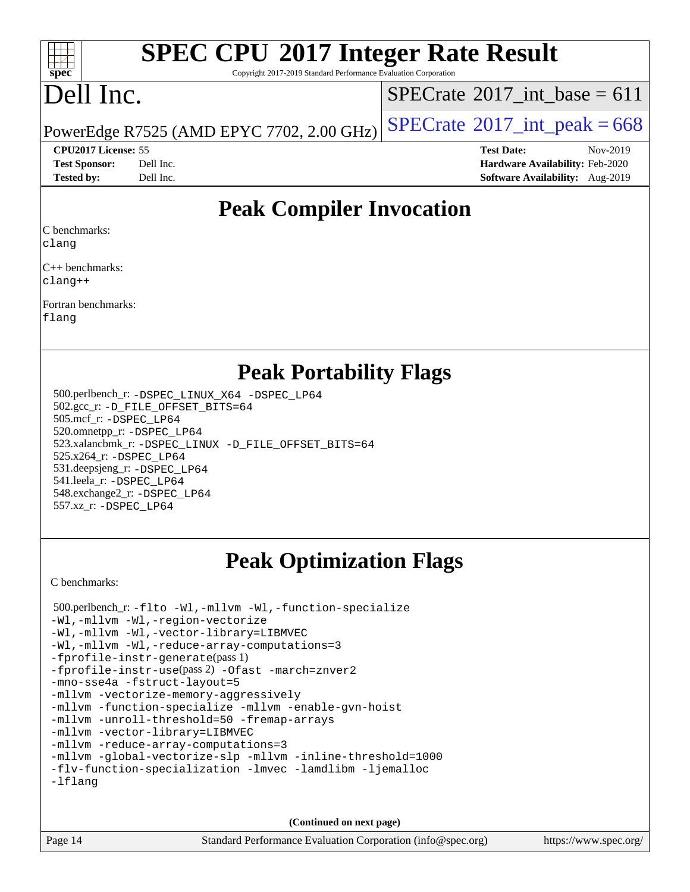#### $\pm$ **[spec](http://www.spec.org/)**

# **[SPEC CPU](http://www.spec.org/auto/cpu2017/Docs/result-fields.html#SPECCPU2017IntegerRateResult)[2017 Integer Rate Result](http://www.spec.org/auto/cpu2017/Docs/result-fields.html#SPECCPU2017IntegerRateResult)**

Copyright 2017-2019 Standard Performance Evaluation Corporation

## Dell Inc.

 $SPECTate$ <sup>®</sup>[2017\\_int\\_base =](http://www.spec.org/auto/cpu2017/Docs/result-fields.html#SPECrate2017intbase) 611

PowerEdge R7525 (AMD EPYC 7702, 2.00 GHz)  $\left|$  [SPECrate](http://www.spec.org/auto/cpu2017/Docs/result-fields.html#SPECrate2017intpeak)®[2017\\_int\\_peak = 6](http://www.spec.org/auto/cpu2017/Docs/result-fields.html#SPECrate2017intpeak)68

**[CPU2017 License:](http://www.spec.org/auto/cpu2017/Docs/result-fields.html#CPU2017License)** 55 **[Test Date:](http://www.spec.org/auto/cpu2017/Docs/result-fields.html#TestDate)** Nov-2019 **[Test Sponsor:](http://www.spec.org/auto/cpu2017/Docs/result-fields.html#TestSponsor)** Dell Inc. **[Hardware Availability:](http://www.spec.org/auto/cpu2017/Docs/result-fields.html#HardwareAvailability)** Feb-2020 **[Tested by:](http://www.spec.org/auto/cpu2017/Docs/result-fields.html#Testedby)** Dell Inc. **[Software Availability:](http://www.spec.org/auto/cpu2017/Docs/result-fields.html#SoftwareAvailability)** Aug-2019

### **[Peak Compiler Invocation](http://www.spec.org/auto/cpu2017/Docs/result-fields.html#PeakCompilerInvocation)**

[C benchmarks](http://www.spec.org/auto/cpu2017/Docs/result-fields.html#Cbenchmarks):

[clang](http://www.spec.org/cpu2017/results/res2019q4/cpu2017-20191208-20247.flags.html#user_CCpeak_clang-c)

[C++ benchmarks:](http://www.spec.org/auto/cpu2017/Docs/result-fields.html#CXXbenchmarks) [clang++](http://www.spec.org/cpu2017/results/res2019q4/cpu2017-20191208-20247.flags.html#user_CXXpeak_clang-cpp)

[Fortran benchmarks](http://www.spec.org/auto/cpu2017/Docs/result-fields.html#Fortranbenchmarks): [flang](http://www.spec.org/cpu2017/results/res2019q4/cpu2017-20191208-20247.flags.html#user_FCpeak_flang)

**[Peak Portability Flags](http://www.spec.org/auto/cpu2017/Docs/result-fields.html#PeakPortabilityFlags)**

 500.perlbench\_r: [-DSPEC\\_LINUX\\_X64](http://www.spec.org/cpu2017/results/res2019q4/cpu2017-20191208-20247.flags.html#b500.perlbench_r_peakPORTABILITY_DSPEC_LINUX_X64) [-DSPEC\\_LP64](http://www.spec.org/cpu2017/results/res2019q4/cpu2017-20191208-20247.flags.html#b500.perlbench_r_peakEXTRA_PORTABILITY_DSPEC_LP64) 502.gcc\_r: [-D\\_FILE\\_OFFSET\\_BITS=64](http://www.spec.org/cpu2017/results/res2019q4/cpu2017-20191208-20247.flags.html#user_peakEXTRA_PORTABILITY502_gcc_r_F-D_FILE_OFFSET_BITS_5ae949a99b284ddf4e95728d47cb0843d81b2eb0e18bdfe74bbf0f61d0b064f4bda2f10ea5eb90e1dcab0e84dbc592acfc5018bc955c18609f94ddb8d550002c) 505.mcf\_r: [-DSPEC\\_LP64](http://www.spec.org/cpu2017/results/res2019q4/cpu2017-20191208-20247.flags.html#suite_peakEXTRA_PORTABILITY505_mcf_r_DSPEC_LP64) 520.omnetpp\_r: [-DSPEC\\_LP64](http://www.spec.org/cpu2017/results/res2019q4/cpu2017-20191208-20247.flags.html#suite_peakEXTRA_PORTABILITY520_omnetpp_r_DSPEC_LP64) 523.xalancbmk\_r: [-DSPEC\\_LINUX](http://www.spec.org/cpu2017/results/res2019q4/cpu2017-20191208-20247.flags.html#b523.xalancbmk_r_peakPORTABILITY_DSPEC_LINUX) [-D\\_FILE\\_OFFSET\\_BITS=64](http://www.spec.org/cpu2017/results/res2019q4/cpu2017-20191208-20247.flags.html#user_peakEXTRA_PORTABILITY523_xalancbmk_r_F-D_FILE_OFFSET_BITS_5ae949a99b284ddf4e95728d47cb0843d81b2eb0e18bdfe74bbf0f61d0b064f4bda2f10ea5eb90e1dcab0e84dbc592acfc5018bc955c18609f94ddb8d550002c) 525.x264\_r: [-DSPEC\\_LP64](http://www.spec.org/cpu2017/results/res2019q4/cpu2017-20191208-20247.flags.html#suite_peakEXTRA_PORTABILITY525_x264_r_DSPEC_LP64) 531.deepsjeng\_r: [-DSPEC\\_LP64](http://www.spec.org/cpu2017/results/res2019q4/cpu2017-20191208-20247.flags.html#suite_peakEXTRA_PORTABILITY531_deepsjeng_r_DSPEC_LP64) 541.leela\_r: [-DSPEC\\_LP64](http://www.spec.org/cpu2017/results/res2019q4/cpu2017-20191208-20247.flags.html#suite_peakEXTRA_PORTABILITY541_leela_r_DSPEC_LP64) 548.exchange2\_r: [-DSPEC\\_LP64](http://www.spec.org/cpu2017/results/res2019q4/cpu2017-20191208-20247.flags.html#suite_peakEXTRA_PORTABILITY548_exchange2_r_DSPEC_LP64) 557.xz\_r: [-DSPEC\\_LP64](http://www.spec.org/cpu2017/results/res2019q4/cpu2017-20191208-20247.flags.html#suite_peakEXTRA_PORTABILITY557_xz_r_DSPEC_LP64)

### **[Peak Optimization Flags](http://www.spec.org/auto/cpu2017/Docs/result-fields.html#PeakOptimizationFlags)**

[C benchmarks](http://www.spec.org/auto/cpu2017/Docs/result-fields.html#Cbenchmarks):

 500.perlbench\_r: [-flto](http://www.spec.org/cpu2017/results/res2019q4/cpu2017-20191208-20247.flags.html#user_peakCOPTIMIZELDFLAGS500_perlbench_r_aocc-flto) [-Wl,-mllvm -Wl,-function-specialize](http://www.spec.org/cpu2017/results/res2019q4/cpu2017-20191208-20247.flags.html#user_peakLDFLAGS500_perlbench_r_F-function-specialize_7e7e661e57922243ee67c9a1251cb8910e607325179a0ce7f2884e09a6f5d4a5ef0ae4f37e8a2a11c95fc48e931f06dc2b6016f14b511fcb441e048bef1b065a) [-Wl,-mllvm -Wl,-region-vectorize](http://www.spec.org/cpu2017/results/res2019q4/cpu2017-20191208-20247.flags.html#user_peakLDFLAGS500_perlbench_r_F-region-vectorize_fb6c6b5aa293c88efc6c7c2b52b20755e943585b1fe8658c35afef78727fff56e1a56891413c30e36b8e2a6f9a71126986319243e80eb6110b78b288f533c52b) [-Wl,-mllvm -Wl,-vector-library=LIBMVEC](http://www.spec.org/cpu2017/results/res2019q4/cpu2017-20191208-20247.flags.html#user_peakLDFLAGS500_perlbench_r_F-use-vector-library_0a14b27fae317f283640384a31f7bfcc2bd4c1d0b5cfc618a3a430800c9b20217b00f61303eff223a3251b4f06ffbc9739dc5296db9d1fbb9ad24a3939d86d66) [-Wl,-mllvm -Wl,-reduce-array-computations=3](http://www.spec.org/cpu2017/results/res2019q4/cpu2017-20191208-20247.flags.html#user_peakLDFLAGS500_perlbench_r_F-reduce-array-computations_b882aefe7a5dda4e33149f6299762b9a720dace3e498e13756f4c04e5a19edf5315c1f3993de2e61ec41e8c206231f84e05da7040e1bb5d69ba27d10a12507e4) [-fprofile-instr-generate](http://www.spec.org/cpu2017/results/res2019q4/cpu2017-20191208-20247.flags.html#user_peakPASS1_CFLAGSPASS1_LDFLAGS500_perlbench_r_F-fprofile-instr-generate)(pass 1) [-fprofile-instr-use](http://www.spec.org/cpu2017/results/res2019q4/cpu2017-20191208-20247.flags.html#user_peakPASS2_CFLAGSPASS2_LDFLAGS500_perlbench_r_F-fprofile-instr-use)(pass 2) [-Ofast](http://www.spec.org/cpu2017/results/res2019q4/cpu2017-20191208-20247.flags.html#user_peakCOPTIMIZE500_perlbench_r_aocc-Ofast) [-march=znver2](http://www.spec.org/cpu2017/results/res2019q4/cpu2017-20191208-20247.flags.html#user_peakCOPTIMIZE500_perlbench_r_aocc-march_3e2e19cff2eeef60c5d90b059483627c9ea47eca6d66670dbd53f9185f6439e27eb5e104cf773e9e8ab18c8842ce63e461a3e948d0214bd567ef3ade411bf467) [-mno-sse4a](http://www.spec.org/cpu2017/results/res2019q4/cpu2017-20191208-20247.flags.html#user_peakCOPTIMIZE500_perlbench_r_F-mno-sse4a) [-fstruct-layout=5](http://www.spec.org/cpu2017/results/res2019q4/cpu2017-20191208-20247.flags.html#user_peakCOPTIMIZE500_perlbench_r_F-struct-layout_0de9d3561e9f54a54e0843cce081bd13a08ab3e9a82696f3346606c2e11360c37113781019b02fa128d9f650e68f1ffd209bab5c3a026c1ad23e4e7f60646b23) [-mllvm -vectorize-memory-aggressively](http://www.spec.org/cpu2017/results/res2019q4/cpu2017-20191208-20247.flags.html#user_peakCOPTIMIZE500_perlbench_r_F-vectorize-memory-aggressively_24b72a4417f50ade9e698c5b3bed87ab456cc6fc8ec6439480cb84f36ad6a3975af6e87206dea402e3871a1464ff3d60bc798e0250f330177ba629a260df1857) [-mllvm -function-specialize](http://www.spec.org/cpu2017/results/res2019q4/cpu2017-20191208-20247.flags.html#user_peakCOPTIMIZE500_perlbench_r_F-function-specialize_233b3bdba86027f1b094368157e481c5bc59f40286dc25bfadc1858dcd5745c24fd30d5f188710db7fea399bcc9f44a80b3ce3aacc70a8870250c3ae5e1f35b8) [-mllvm -enable-gvn-hoist](http://www.spec.org/cpu2017/results/res2019q4/cpu2017-20191208-20247.flags.html#user_peakCOPTIMIZE500_perlbench_r_F-enable-gvn-hoist_e5856354646dd6ca1333a0ad99b817e4cf8932b91b82809fd8fd47ceff7b22a89eba5c98fd3e3fa5200368fd772cec3dd56abc3c8f7b655a71b9f9848dddedd5) [-mllvm -unroll-threshold=50](http://www.spec.org/cpu2017/results/res2019q4/cpu2017-20191208-20247.flags.html#user_peakCOPTIMIZE500_perlbench_r_F-unroll-threshold_458874500b2c105d6d5cb4d7a611c40e2b16e9e3d26b355fea72d644c3673b4de4b3932662f0ed3dbec75c491a13da2d2ca81180bd779dc531083ef1e1e549dc) [-fremap-arrays](http://www.spec.org/cpu2017/results/res2019q4/cpu2017-20191208-20247.flags.html#user_peakCOPTIMIZE500_perlbench_r_F-fremap-arrays) [-mllvm -vector-library=LIBMVEC](http://www.spec.org/cpu2017/results/res2019q4/cpu2017-20191208-20247.flags.html#user_peakCOPTIMIZE500_perlbench_r_F-use-vector-library_e584e20b4f7ec96aa109254b65d8e01d864f3d68580371b9d93ed7c338191d4cfce20c3c864632264effc6bbe4c7c38153d02096a342ee92501c4a53204a7871) [-mllvm -reduce-array-computations=3](http://www.spec.org/cpu2017/results/res2019q4/cpu2017-20191208-20247.flags.html#user_peakCOPTIMIZE500_perlbench_r_F-reduce-array-computations_aceadb8604558b566e0e3a0d7a3c1533923dd1fa0889614e16288028922629a28d5695c24d3b3be4306b1e311c54317dfffe3a2e57fbcaabc737a1798de39145) [-mllvm -global-vectorize-slp](http://www.spec.org/cpu2017/results/res2019q4/cpu2017-20191208-20247.flags.html#user_peakCOPTIMIZE500_perlbench_r_F-global-vectorize-slp_a3935e8627af4ced727033b1ffd4db27f4d541a363d28d82bf4c2925fb3a0fd4115d6e42d13a2829f9e024d6608eb67a85cb49770f2da5c5ac8dbc737afad603) [-mllvm -inline-threshold=1000](http://www.spec.org/cpu2017/results/res2019q4/cpu2017-20191208-20247.flags.html#user_peakCOPTIMIZE500_perlbench_r_dragonegg-llvm-inline-threshold_b7832241b0a6397e4ecdbaf0eb7defdc10f885c2a282fa3240fdc99844d543fda39cf8a4a9dccf68cf19b5438ac3b455264f478df15da0f4988afa40d8243bab) [-flv-function-specialization](http://www.spec.org/cpu2017/results/res2019q4/cpu2017-20191208-20247.flags.html#user_peakCOPTIMIZE500_perlbench_r_F-flv-function-specialization) [-lmvec](http://www.spec.org/cpu2017/results/res2019q4/cpu2017-20191208-20247.flags.html#user_peakEXTRA_LIBSMATH_LIBS500_perlbench_r_F-lmvec) [-lamdlibm](http://www.spec.org/cpu2017/results/res2019q4/cpu2017-20191208-20247.flags.html#user_peakEXTRA_LIBSMATH_LIBS500_perlbench_r_F-lamdlibm) [-ljemalloc](http://www.spec.org/cpu2017/results/res2019q4/cpu2017-20191208-20247.flags.html#user_peakEXTRA_LIBS500_perlbench_r_jemalloc-lib) [-lflang](http://www.spec.org/cpu2017/results/res2019q4/cpu2017-20191208-20247.flags.html#user_peakEXTRA_LIBS500_perlbench_r_F-lflang)

**(Continued on next page)**

Page 14 Standard Performance Evaluation Corporation [\(info@spec.org\)](mailto:info@spec.org) <https://www.spec.org/>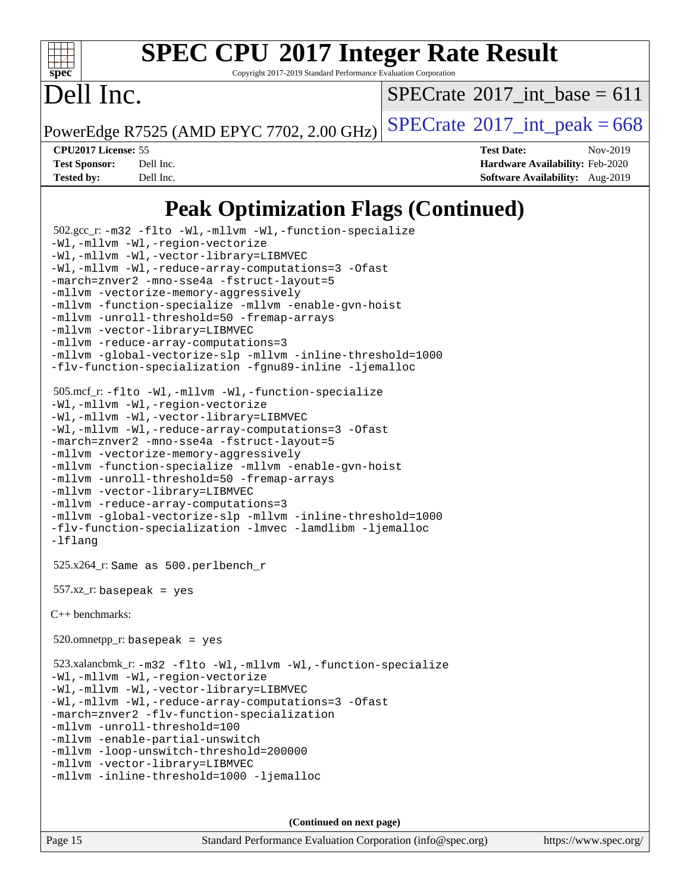

Copyright 2017-2019 Standard Performance Evaluation Corporation

## Dell Inc.

 $SPECTate$ <sup>®</sup>[2017\\_int\\_base =](http://www.spec.org/auto/cpu2017/Docs/result-fields.html#SPECrate2017intbase) 611

PowerEdge R7525 (AMD EPYC 7702, 2.00 GHz)  $\text{SPECrate}^{\circ}2017\_int\_peak = 668$  $\text{SPECrate}^{\circ}2017\_int\_peak = 668$  $\text{SPECrate}^{\circ}2017\_int\_peak = 668$ 

**[CPU2017 License:](http://www.spec.org/auto/cpu2017/Docs/result-fields.html#CPU2017License)** 55 **[Test Date:](http://www.spec.org/auto/cpu2017/Docs/result-fields.html#TestDate)** Nov-2019 **[Test Sponsor:](http://www.spec.org/auto/cpu2017/Docs/result-fields.html#TestSponsor)** Dell Inc. **[Hardware Availability:](http://www.spec.org/auto/cpu2017/Docs/result-fields.html#HardwareAvailability)** Feb-2020 **[Tested by:](http://www.spec.org/auto/cpu2017/Docs/result-fields.html#Testedby)** Dell Inc. **[Software Availability:](http://www.spec.org/auto/cpu2017/Docs/result-fields.html#SoftwareAvailability)** Aug-2019

### **[Peak Optimization Flags \(Continued\)](http://www.spec.org/auto/cpu2017/Docs/result-fields.html#PeakOptimizationFlags)**

```
 502.gcc_r: -m32 -flto -Wl,-mllvm -Wl,-function-specialize
-Wl,-mllvm -Wl,-region-vectorize
-Wl,-mllvm -Wl,-vector-library=LIBMVEC
-Wl,-mllvm -Wl,-reduce-array-computations=3 -Ofast
-march=znver2 -mno-sse4a -fstruct-layout=5
-mllvm -vectorize-memory-aggressively
-mllvm -function-specialize -mllvm -enable-gvn-hoist
-mllvm -unroll-threshold=50 -fremap-arrays
-mllvm -vector-library=LIBMVEC
-mllvm -reduce-array-computations=3
-mllvm -global-vectorize-slp -mllvm -inline-threshold=1000
-flv-function-specialization -fgnu89-inline -ljemalloc
 505.mcf_r: -flto -Wl,-mllvm -Wl,-function-specialize
-Wl,-mllvm -Wl,-region-vectorize
-Wl,-mllvm -Wl,-vector-library=LIBMVEC
-Wl,-mllvm -Wl,-reduce-array-computations=3 -Ofast
-march=znver2 -mno-sse4a -fstruct-layout=5
-mllvm -vectorize-memory-aggressively
-mllvm -function-specialize -mllvm -enable-gvn-hoist
-mllvm -unroll-threshold=50 -fremap-arrays
-mllvm -vector-library=LIBMVEC
-mllvm -reduce-array-computations=3
-mllvm -global-vectorize-slp -mllvm -inline-threshold=1000
-flv-function-specialization -lmvec -lamdlibm -ljemalloc
-lflang
 525.x264_r: Same as 500.perlbench_r
 557.xz_r: basepeak = yes
C++ benchmarks: 
520.omnetpp_r: basepeak = yes
 523.xalancbmk_r: -m32 -flto -Wl,-mllvm -Wl,-function-specialize
-Wl,-mllvm -Wl,-region-vectorize
-Wl,-mllvm -Wl,-vector-library=LIBMVEC
-Wl,-mllvm -Wl,-reduce-array-computations=3 -Ofast
-march=znver2 -flv-function-specialization
-mllvm -unroll-threshold=100
-mllvm -enable-partial-unswitch
-mllvm -loop-unswitch-threshold=200000
-mllvm -vector-library=LIBMVEC
-mllvm -inline-threshold=1000 -ljemalloc
```